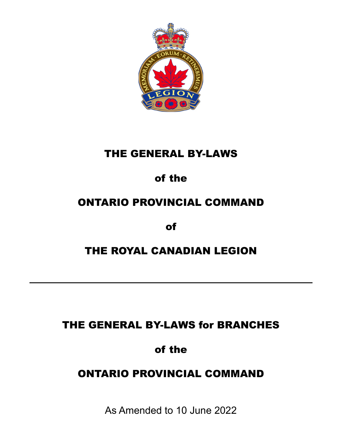

# THE GENERAL BY-LAWS

# of the

# ONTARIO PROVINCIAL COMMAND

of

# THE ROYAL CANADIAN LEGION

# THE GENERAL BY-LAWS for BRANCHES

# of the

# ONTARIO PROVINCIAL COMMAND

As Amended to 10 June 2022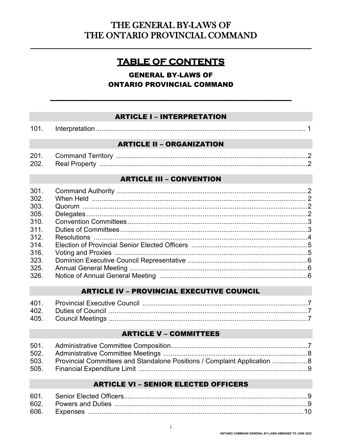# THE GENERAL BY-LAWS OF THE ONTARIO PROVINCIAL COMMAND

# **TABLE OF CONTENTS**

# **GENERAL BY-LAWS OF ONTARIO PROVINCIAL COMMAND**

## **ARTICLE I - INTERPRETATION**

| ּ~ |  |
|----|--|
|    |  |

#### **ARTICLE II - ORGANIZATION**

| 20 <sup>1</sup> | . Ferritor <sup>.</sup><br>Command ∶ |  |
|-----------------|--------------------------------------|--|
| 202             | RASI PIO                             |  |

## **ARTICLE III - CONVENTION**

| 301. |  |
|------|--|
| 302. |  |
| 303. |  |
| 305. |  |
| 310. |  |
| 311. |  |
| 312. |  |
| 314. |  |
| 316. |  |
| 323. |  |
| 325. |  |
| 326. |  |

#### **ARTICLE IV - PROVINCIAL EXECUTIVE COUNCIL**

## **ARTICLE V - COMMITTEES**

| 503. Provincial Committees and Standalone Positions / Complaint Application 8 |  |
|-------------------------------------------------------------------------------|--|
|                                                                               |  |

#### **ARTICLE VI - SENIOR ELECTED OFFICERS**

| 601 |  |
|-----|--|
|     |  |
|     |  |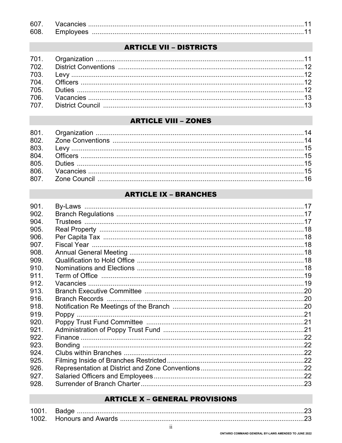| .60        |  |
|------------|--|
| <b>RUS</b> |  |

# **ARTICLE VII - DISTRICTS**

| <u>2007 - 2013 - Alexander Andrej Maria Andrej Maria Alexander (h. 1886).</u><br>12 - Continue Strategy, american provincia a control de la contradición de la contradición de la contradición<br>12 - Continue de la contradición de la |  |
|------------------------------------------------------------------------------------------------------------------------------------------------------------------------------------------------------------------------------------------|--|
|                                                                                                                                                                                                                                          |  |
|                                                                                                                                                                                                                                          |  |
|                                                                                                                                                                                                                                          |  |

# **ARTICLE VIII - ZONES**

# **ARTICLE IX - BRANCHES**

| 901. |  |
|------|--|
| 902. |  |
| 904. |  |
| 905. |  |
| 906. |  |
| 907. |  |
| 908. |  |
| 909. |  |
| 910. |  |
| 911. |  |
| 912. |  |
| 913. |  |
| 916. |  |
| 918. |  |
| 919. |  |
| 920. |  |
| 921. |  |
| 922. |  |
| 923. |  |
| 924. |  |
| 925. |  |
| 926. |  |
| 927. |  |
| 928. |  |

# **ARTICLE X - GENERAL PROVISIONS**

| 100. |                           |  |
|------|---------------------------|--|
|      | <b>Honours and Awards</b> |  |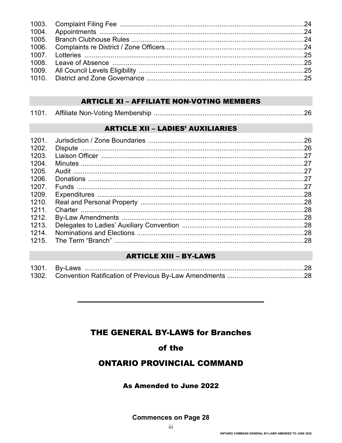# **ARTICLE XI - AFFILIATE NON-VOTING MEMBERS**

| 1101 |  |  |
|------|--|--|
|------|--|--|

# **ARTICLE XII - LADIES' AUXILIARIES**

| .28  |
|------|
| . 28 |
|      |
|      |
| .28  |
|      |

# **ARTICLE XIII - BY-LAWS**

# **THE GENERAL BY-LAWS for Branches**

# of the

# **ONTARIO PROVINCIAL COMMAND**

#### As Amended to June 2022

**Commences on Page 28**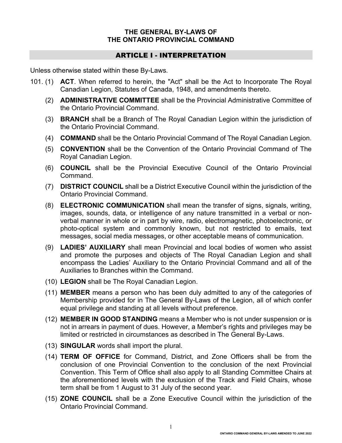#### **THE GENERAL BY-LAWS OF THE ONTARIO PROVINCIAL COMMAND**

# ARTICLE I - INTERPRETATION

Unless otherwise stated within these By-Laws.

- 101. (1) **ACT**. When referred to herein, the "Act" shall be the Act to Incorporate The Royal Canadian Legion, Statutes of Canada, 1948, and amendments thereto.
	- (2) **ADMINISTRATIVE COMMITTEE** shall be the Provincial Administrative Committee of the Ontario Provincial Command.
	- (3) **BRANCH** shall be a Branch of The Royal Canadian Legion within the jurisdiction of the Ontario Provincial Command.
	- (4) **COMMAND** shall be the Ontario Provincial Command of The Royal Canadian Legion.
	- (5) **CONVENTION** shall be the Convention of the Ontario Provincial Command of The Royal Canadian Legion.
	- (6) **COUNCIL** shall be the Provincial Executive Council of the Ontario Provincial Command.
	- (7) **DISTRICT COUNCIL** shall be a District Executive Council within the jurisdiction of the Ontario Provincial Command.
	- (8) **ELECTRONIC COMMUNICATION** shall mean the transfer of signs, signals, writing, images, sounds, data, or intelligence of any nature transmitted in a verbal or nonverbal manner in whole or in part by wire, radio, electromagnetic, photoelectronic, or photo-optical system and commonly known, but not restricted to emails, text messages, social media messages, or other acceptable means of communication.
	- (9) **LADIES' AUXILIARY** shall mean Provincial and local bodies of women who assist and promote the purposes and objects of The Royal Canadian Legion and shall encompass the Ladies' Auxiliary to the Ontario Provincial Command and all of the Auxiliaries to Branches within the Command.
	- (10) **LEGION** shall be The Royal Canadian Legion.
	- (11) **MEMBER** means a person who has been duly admitted to any of the categories of Membership provided for in The General By-Laws of the Legion, all of which confer equal privilege and standing at all levels without preference.
	- (12) **MEMBER IN GOOD STANDING** means a Member who is not under suspension or is not in arrears in payment of dues. However, a Member's rights and privileges may be limited or restricted in circumstances as described in The General By-Laws.
	- (13) **SINGULAR** words shall import the plural.
	- (14) **TERM OF OFFICE** for Command, District, and Zone Officers shall be from the conclusion of one Provincial Convention to the conclusion of the next Provincial Convention. This Term of Office shall also apply to all Standing Committee Chairs at the aforementioned levels with the exclusion of the Track and Field Chairs, whose term shall be from 1 August to 31 July of the second year.
	- (15) **ZONE COUNCIL** shall be a Zone Executive Council within the jurisdiction of the Ontario Provincial Command.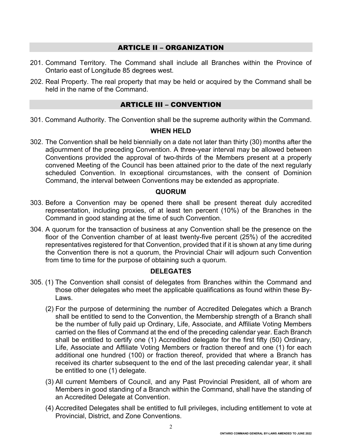## ARTICLE II – ORGANIZATION

- 201. Command Territory. The Command shall include all Branches within the Province of Ontario east of Longitude 85 degrees west.
- 202. Real Property. The real property that may be held or acquired by the Command shall be held in the name of the Command.

## ARTICLE III – CONVENTION

301. Command Authority. The Convention shall be the supreme authority within the Command.

#### **WHEN HELD**

302. The Convention shall be held biennially on a date not later than thirty (30) months after the adjournment of the preceding Convention. A three-year interval may be allowed between Conventions provided the approval of two-thirds of the Members present at a properly convened Meeting of the Council has been attained prior to the date of the next regularly scheduled Convention. In exceptional circumstances, with the consent of Dominion Command, the interval between Conventions may be extended as appropriate.

#### **QUORUM**

- 303. Before a Convention may be opened there shall be present thereat duly accredited representation, including proxies, of at least ten percent (10%) of the Branches in the Command in good standing at the time of such Convention.
- 304. A quorum for the transaction of business at any Convention shall be the presence on the floor of the Convention chamber of at least twenty-five percent (25%) of the accredited representatives registered for that Convention, provided that if it is shown at any time during the Convention there is not a quorum, the Provincial Chair will adjourn such Convention from time to time for the purpose of obtaining such a quorum.

#### **DELEGATES**

- 305. (1) The Convention shall consist of delegates from Branches within the Command and those other delegates who meet the applicable qualifications as found within these By-Laws.
	- (2) For the purpose of determining the number of Accredited Delegates which a Branch shall be entitled to send to the Convention, the Membership strength of a Branch shall be the number of fully paid up Ordinary, Life, Associate, and Affiliate Voting Members carried on the files of Command at the end of the preceding calendar year. Each Branch shall be entitled to certify one (1) Accredited delegate for the first fifty (50) Ordinary, Life, Associate and Affiliate Voting Members or fraction thereof and one (1) for each additional one hundred (100) or fraction thereof, provided that where a Branch has received its charter subsequent to the end of the last preceding calendar year, it shall be entitled to one (1) delegate.
	- (3) All current Members of Council, and any Past Provincial President, all of whom are Members in good standing of a Branch within the Command, shall have the standing of an Accredited Delegate at Convention.
	- (4) Accredited Delegates shall be entitled to full privileges, including entitlement to vote at Provincial, District, and Zone Conventions.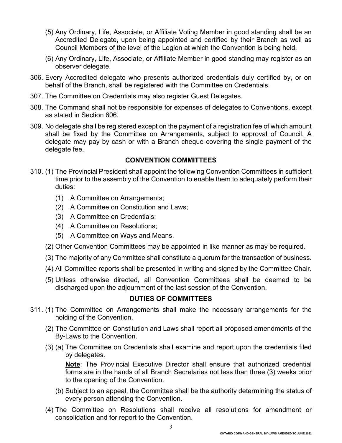- (5) Any Ordinary, Life, Associate, or Affiliate Voting Member in good standing shall be an Accredited Delegate, upon being appointed and certified by their Branch as well as Council Members of the level of the Legion at which the Convention is being held.
- (6) Any Ordinary, Life, Associate, or Affiliate Member in good standing may register as an observer delegate.
- 306. Every Accredited delegate who presents authorized credentials duly certified by, or on behalf of the Branch, shall be registered with the Committee on Credentials.
- 307. The Committee on Credentials may also register Guest Delegates.
- 308. The Command shall not be responsible for expenses of delegates to Conventions, except as stated in Section 606.
- 309. No delegate shall be registered except on the payment of a registration fee of which amount shall be fixed by the Committee on Arrangements, subject to approval of Council. A delegate may pay by cash or with a Branch cheque covering the single payment of the delegate fee.

## **CONVENTION COMMITTEES**

- 310. (1) The Provincial President shall appoint the following Convention Committees in sufficient time prior to the assembly of the Convention to enable them to adequately perform their duties:
	- (1) A Committee on Arrangements;
	- (2) A Committee on Constitution and Laws;
	- (3) A Committee on Credentials;
	- (4) A Committee on Resolutions;
	- (5) A Committee on Ways and Means.
	- (2) Other Convention Committees may be appointed in like manner as may be required.
	- (3) The majority of any Committee shall constitute a quorum for the transaction of business.
	- (4) All Committee reports shall be presented in writing and signed by the Committee Chair.
	- (5) Unless otherwise directed, all Convention Committees shall be deemed to be discharged upon the adjournment of the last session of the Convention.

# **DUTIES OF COMMITTEES**

- 311. (1) The Committee on Arrangements shall make the necessary arrangements for the holding of the Convention.
	- (2) The Committee on Constitution and Laws shall report all proposed amendments of the By-Laws to the Convention.
	- (3) (a) The Committee on Credentials shall examine and report upon the credentials filed by delegates.

**Note**: The Provincial Executive Director shall ensure that authorized credential forms are in the hands of all Branch Secretaries not less than three (3) weeks prior to the opening of the Convention.

- (b) Subject to an appeal, the Committee shall be the authority determining the status of every person attending the Convention.
- (4) The Committee on Resolutions shall receive all resolutions for amendment or consolidation and for report to the Convention.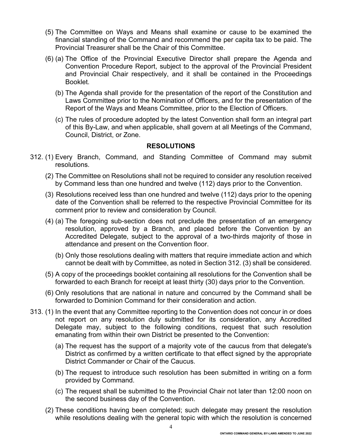- (5) The Committee on Ways and Means shall examine or cause to be examined the financial standing of the Command and recommend the per capita tax to be paid. The Provincial Treasurer shall be the Chair of this Committee.
- (6) (a) The Office of the Provincial Executive Director shall prepare the Agenda and Convention Procedure Report, subject to the approval of the Provincial President and Provincial Chair respectively, and it shall be contained in the Proceedings Booklet.
	- (b) The Agenda shall provide for the presentation of the report of the Constitution and Laws Committee prior to the Nomination of Officers, and for the presentation of the Report of the Ways and Means Committee, prior to the Election of Officers.
	- (c) The rules of procedure adopted by the latest Convention shall form an integral part of this By-Law, and when applicable, shall govern at all Meetings of the Command, Council, District, or Zone.

#### **RESOLUTIONS**

- 312. (1) Every Branch, Command, and Standing Committee of Command may submit resolutions.
	- (2) The Committee on Resolutions shall not be required to consider any resolution received by Command less than one hundred and twelve (112) days prior to the Convention.
	- (3) Resolutions received less than one hundred and twelve (112) days prior to the opening date of the Convention shall be referred to the respective Provincial Committee for its comment prior to review and consideration by Council.
	- (4) (a) The foregoing sub-section does not preclude the presentation of an emergency resolution, approved by a Branch, and placed before the Convention by an Accredited Delegate, subject to the approval of a two-thirds majority of those in attendance and present on the Convention floor.
		- (b) Only those resolutions dealing with matters that require immediate action and which cannot be dealt with by Committee, as noted in Section 312. (3) shall be considered.
	- (5) A copy of the proceedings booklet containing all resolutions for the Convention shall be forwarded to each Branch for receipt at least thirty (30) days prior to the Convention.
	- (6) Only resolutions that are national in nature and concurred by the Command shall be forwarded to Dominion Command for their consideration and action.
- 313. (1) In the event that any Committee reporting to the Convention does not concur in or does not report on any resolution duly submitted for its consideration, any Accredited Delegate may, subject to the following conditions, request that such resolution emanating from within their own District be presented to the Convention:
	- (a) The request has the support of a majority vote of the caucus from that delegate's District as confirmed by a written certificate to that effect signed by the appropriate District Commander or Chair of the Caucus.
	- (b) The request to introduce such resolution has been submitted in writing on a form provided by Command.
	- (c) The request shall be submitted to the Provincial Chair not later than 12:00 noon on the second business day of the Convention.
	- (2) These conditions having been completed; such delegate may present the resolution while resolutions dealing with the general topic with which the resolution is concerned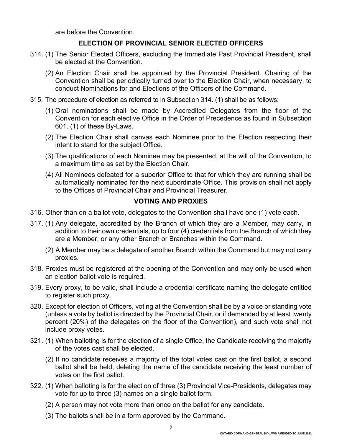are before the Convention.

#### **ELECTION OF PROVINCIAL SENIOR ELECTED OFFICERS**

- 314. (1) The Senior Elected Officers, excluding the Immediate Past Provincial President, shall be elected at the Convention.
	- (2) An Election Chair shall be appointed by the Provincial President. Chairing of the Convention shall be periodically turned over to the Election Chair, when necessary, to conduct Nominations for and Elections of the Officers of the Command.
- 315. The procedure of election as referred to in Subsection 314. (1) shall be as follows:
	- (1) Oral nominations shall be made by Accredited Delegates from the floor of the Convention for each elective Office in the Order of Precedence as found in Subsection 601. (1) of these By-Laws.
	- (2) The Election Chair shall canvas each Nominee prior to the Election respecting their intent to stand for the subject Office.
	- (3) The qualifications of each Nominee may be presented, at the will of the Convention, to a maximum time as set by the Election Chair.
	- (4) All Nominees defeated for a superior Office to that for which they are running shall be automatically nominated for the next subordinate Office. This provision shall not apply to the Offices of Provincial Chair and Provincial Treasurer.

#### **VOTING AND PROXIES**

- 316. Other than on a ballot vote, delegates to the Convention shall have one (1) vote each.
- 317. (1) Any delegate, accredited by the Branch of which they are a Member, may carry, in addition to their own credentials, up to four (4) credentials from the Branch of which they are a Member, or any other Branch or Branches within the Command.
	- (2) A Member may be a delegate of another Branch within the Command but may not carry proxies.
- 318. Proxies must be registered at the opening of the Convention and may only be used when an election ballot vote is required.
- 319. Every proxy, to be valid, shall include a credential certificate naming the delegate entitled to register such proxy.
- 320. Except for election of Officers, voting at the Convention shall be by a voice or standing vote (unless a vote by ballot is directed by the Provincial Chair, or if demanded by at least twenty percent (20%) of the delegates on the floor of the Convention), and such vote shall not include proxy votes.
- 321. (1) When balloting is for the election of a single Office, the Candidate receiving the majority of the votes cast shall be elected.
	- (2) If no candidate receives a majority of the total votes cast on the first ballot, a second ballot shall be held, deleting the name of the candidate receiving the least number of votes on the first ballot.
- 322. (1) When balloting is for the election of three (3) Provincial Vice-Presidents, delegates may vote for up to three (3) names on a single ballot form.
	- (2) A person may not vote more than once on the ballot for any candidate.
	- (3) The ballots shall be in a form approved by the Command.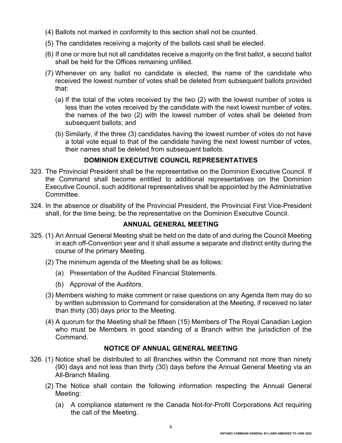- (4) Ballots not marked in conformity to this section shall not be counted.
- (5) The candidates receiving a majority of the ballots cast shall be elected.
- (6) If one or more but not all candidates receive a majority on the first ballot, a second ballot shall be held for the Offices remaining unfilled.
- (7) Whenever on any ballot no candidate is elected, the name of the candidate who received the lowest number of votes shall be deleted from subsequent ballots provided that:
	- (a) If the total of the votes received by the two (2) with the lowest number of votes is less than the votes received by the candidate with the next lowest number of votes, the names of the two (2) with the lowest number of votes shall be deleted from subsequent ballots; and
	- (b) Similarly, if the three (3) candidates having the lowest number of votes do not have a total vote equal to that of the candidate having the next lowest number of votes, their names shall be deleted from subsequent ballots.

# **DOMINION EXECUTIVE COUNCIL REPRESENTATIVES**

- 323. The Provincial President shall be the representative on the Dominion Executive Council. If the Command shall become entitled to additional representatives on the Dominion Executive Council, such additional representatives shall be appointed by the Administrative Committee.
- 324. In the absence or disability of the Provincial President, the Provincial First Vice-President shall, for the time being, be the representative on the Dominion Executive Council.

# **ANNUAL GENERAL MEETING**

- 325. (1) An Annual General Meeting shall be held on the date of and during the Council Meeting in each off-Convention year and it shall assume a separate and distinct entity during the course of the primary Meeting.
	- (2) The minimum agenda of the Meeting shall be as follows:
		- (a) Presentation of the Audited Financial Statements.
		- (b) Approval of the Auditors.
	- (3) Members wishing to make comment or raise questions on any Agenda Item may do so by written submission to Command for consideration at the Meeting, if received no later than thirty (30) days prior to the Meeting.
	- (4) A quorum for the Meeting shall be fifteen (15) Members of The Royal Canadian Legion who must be Members in good standing of a Branch within the jurisdiction of the Command.

# **NOTICE OF ANNUAL GENERAL MEETING**

- 326. (1) Notice shall be distributed to all Branches within the Command not more than ninety (90) days and not less than thirty (30) days before the Annual General Meeting via an All-Branch Mailing.
	- (2) The Notice shall contain the following information respecting the Annual General Meeting:
		- (a) A compliance statement re the Canada Not-for-Profit Corporations Act requiring the call of the Meeting.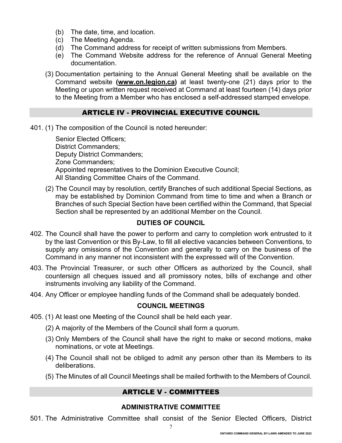- (b) The date, time, and location.
- (c) The Meeting Agenda.
- (d) The Command address for receipt of written submissions from Members.
- (e) The Command Website address for the reference of Annual General Meeting documentation.
- (3) Documentation pertaining to the Annual General Meeting shall be available on the Command website **[\(www.on.legion.ca\)](http://www.on.legion.ca/)** at least twenty-one (21) days prior to the Meeting or upon written request received at Command at least fourteen (14) days prior to the Meeting from a Member who has enclosed a self-addressed stamped envelope.

## ARTICLE IV - PROVINCIAL EXECUTIVE COUNCIL

401. (1) The composition of the Council is noted hereunder:

Senior Elected Officers; District Commanders; Deputy District Commanders; Zone Commanders; Appointed representatives to the Dominion Executive Council; All Standing Committee Chairs of the Command.

(2) The Council may by resolution, certify Branches of such additional Special Sections, as may be established by Dominion Command from time to time and when a Branch or Branches of such Special Section have been certified within the Command, that Special Section shall be represented by an additional Member on the Council.

#### **DUTIES OF COUNCIL**

- 402. The Council shall have the power to perform and carry to completion work entrusted to it by the last Convention or this By-Law, to fill all elective vacancies between Conventions, to supply any omissions of the Convention and generally to carry on the business of the Command in any manner not inconsistent with the expressed will of the Convention.
- 403. The Provincial Treasurer, or such other Officers as authorized by the Council, shall countersign all cheques issued and all promissory notes, bills of exchange and other instruments involving any liability of the Command.
- 404. Any Officer or employee handling funds of the Command shall be adequately bonded.

#### **COUNCIL MEETINGS**

- 405. (1) At least one Meeting of the Council shall be held each year.
	- (2) A majority of the Members of the Council shall form a quorum.
	- (3) Only Members of the Council shall have the right to make or second motions, make nominations, or vote at Meetings.
	- (4) The Council shall not be obliged to admit any person other than its Members to its deliberations.
	- (5) The Minutes of all Council Meetings shall be mailed forthwith to the Members of Council.

#### ARTICLE V - COMMITTEES

#### **ADMINISTRATIVE COMMITTEE**

501. The Administrative Committee shall consist of the Senior Elected Officers, District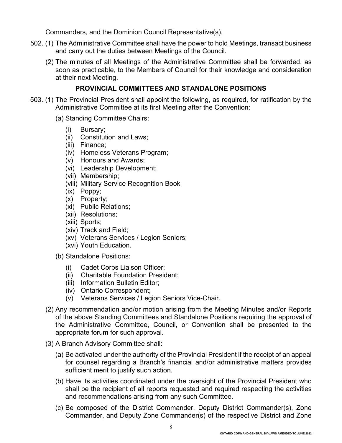Commanders, and the Dominion Council Representative(s).

- 502. (1) The Administrative Committee shall have the power to hold Meetings, transact business and carry out the duties between Meetings of the Council.
	- (2) The minutes of all Meetings of the Administrative Committee shall be forwarded, as soon as practicable, to the Members of Council for their knowledge and consideration at their next Meeting.

# **PROVINCIAL COMMITTEES AND STANDALONE POSITIONS**

- 503. (1) The Provincial President shall appoint the following, as required, for ratification by the Administrative Committee at its first Meeting after the Convention:
	- (a) Standing Committee Chairs:
		- (i) Bursary;
		- (ii) Constitution and Laws;
		- (iii) Finance;
		- (iv) Homeless Veterans Program;
		- (v) Honours and Awards;
		- (vi) Leadership Development;
		- (vii) Membership;
		- (viii) Military Service Recognition Book
		- (ix) Poppy;
		- (x) Property;
		- (xi) Public Relations;
		- (xii) Resolutions;
		- (xiii) Sports;
		- (xiv) Track and Field;
		- (xv) Veterans Services / Legion Seniors;
		- (xvi) Youth Education.
	- (b) Standalone Positions:
		- (i) Cadet Corps Liaison Officer;
		- (ii) Charitable Foundation President;
		- (iii) Information Bulletin Editor;
		- (iv) Ontario Correspondent;
		- (v) Veterans Services / Legion Seniors Vice-Chair.
	- (2) Any recommendation and/or motion arising from the Meeting Minutes and/or Reports of the above Standing Committees and Standalone Positions requiring the approval of the Administrative Committee, Council, or Convention shall be presented to the appropriate forum for such approval.
	- (3) A Branch Advisory Committee shall:
		- (a) Be activated under the authority of the Provincial President if the receipt of an appeal for counsel regarding a Branch's financial and/or administrative matters provides sufficient merit to justify such action.
		- (b) Have its activities coordinated under the oversight of the Provincial President who shall be the recipient of all reports requested and required respecting the activities and recommendations arising from any such Committee.
		- (c) Be composed of the District Commander, Deputy District Commander(s), Zone Commander, and Deputy Zone Commander(s) of the respective District and Zone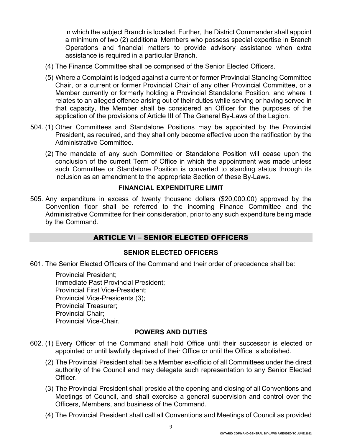in which the subject Branch is located. Further, the District Commander shall appoint a minimum of two (2) additional Members who possess special expertise in Branch Operations and financial matters to provide advisory assistance when extra assistance is required in a particular Branch.

- (4) The Finance Committee shall be comprised of the Senior Elected Officers.
- (5) Where a Complaint is lodged against a current or former Provincial Standing Committee Chair, or a current or former Provincial Chair of any other Provincial Committee, or a Member currently or formerly holding a Provincial Standalone Position, and where it relates to an alleged offence arising out of their duties while serving or having served in that capacity, the Member shall be considered an Officer for the purposes of the application of the provisions of Article III of The General By-Laws of the Legion.
- 504. (1) Other Committees and Standalone Positions may be appointed by the Provincial President, as required, and they shall only become effective upon the ratification by the Administrative Committee.
	- (2) The mandate of any such Committee or Standalone Position will cease upon the conclusion of the current Term of Office in which the appointment was made unless such Committee or Standalone Position is converted to standing status through its inclusion as an amendment to the appropriate Section of these By-Laws.

#### **FINANCIAL EXPENDITURE LIMIT**

505. Any expenditure in excess of twenty thousand dollars (\$20,000.00) approved by the Convention floor shall be referred to the incoming Finance Committee and the Administrative Committee for their consideration, prior to any such expenditure being made by the Command.

## ARTICLE VI – SENIOR ELECTED OFFICERS

#### **SENIOR ELECTED OFFICERS**

601. The Senior Elected Officers of the Command and their order of precedence shall be:

Provincial President; Immediate Past Provincial President; Provincial First Vice-President; Provincial Vice-Presidents (3); Provincial Treasurer; Provincial Chair; Provincial Vice-Chair.

#### **POWERS AND DUTIES**

- 602. (1) Every Officer of the Command shall hold Office until their successor is elected or appointed or until lawfully deprived of their Office or until the Office is abolished.
	- (2) The Provincial President shall be a Member ex-officio of all Committees under the direct authority of the Council and may delegate such representation to any Senior Elected Officer.
	- (3) The Provincial President shall preside at the opening and closing of all Conventions and Meetings of Council, and shall exercise a general supervision and control over the Officers, Members, and business of the Command.
	- (4) The Provincial President shall call all Conventions and Meetings of Council as provided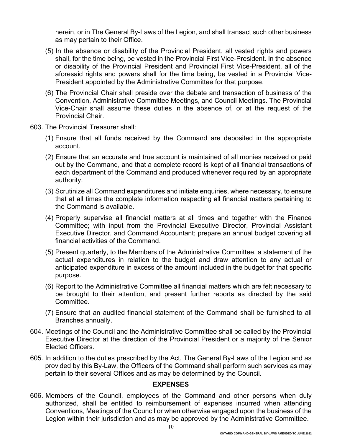herein, or in The General By-Laws of the Legion, and shall transact such other business as may pertain to their Office.

- (5) In the absence or disability of the Provincial President, all vested rights and powers shall, for the time being, be vested in the Provincial First Vice-President. In the absence or disability of the Provincial President and Provincial First Vice-President, all of the aforesaid rights and powers shall for the time being, be vested in a Provincial Vice-President appointed by the Administrative Committee for that purpose.
- (6) The Provincial Chair shall preside over the debate and transaction of business of the Convention, Administrative Committee Meetings, and Council Meetings. The Provincial Vice-Chair shall assume these duties in the absence of, or at the request of the Provincial Chair.
- 603. The Provincial Treasurer shall:
	- (1) Ensure that all funds received by the Command are deposited in the appropriate account.
	- (2) Ensure that an accurate and true account is maintained of all monies received or paid out by the Command, and that a complete record is kept of all financial transactions of each department of the Command and produced whenever required by an appropriate authority.
	- (3) Scrutinize all Command expenditures and initiate enquiries, where necessary, to ensure that at all times the complete information respecting all financial matters pertaining to the Command is available.
	- (4) Properly supervise all financial matters at all times and together with the Finance Committee; with input from the Provincial Executive Director, Provincial Assistant Executive Director, and Command Accountant; prepare an annual budget covering all financial activities of the Command.
	- (5) Present quarterly, to the Members of the Administrative Committee, a statement of the actual expenditures in relation to the budget and draw attention to any actual or anticipated expenditure in excess of the amount included in the budget for that specific purpose.
	- (6) Report to the Administrative Committee all financial matters which are felt necessary to be brought to their attention, and present further reports as directed by the said Committee.
	- (7) Ensure that an audited financial statement of the Command shall be furnished to all Branches annually.
- 604. Meetings of the Council and the Administrative Committee shall be called by the Provincial Executive Director at the direction of the Provincial President or a majority of the Senior Elected Officers.
- 605. In addition to the duties prescribed by the Act, The General By-Laws of the Legion and as provided by this By-Law, the Officers of the Command shall perform such services as may pertain to their several Offices and as may be determined by the Council.

#### **EXPENSES**

606. Members of the Council, employees of the Command and other persons when duly authorized, shall be entitled to reimbursement of expenses incurred when attending Conventions, Meetings of the Council or when otherwise engaged upon the business of the Legion within their jurisdiction and as may be approved by the Administrative Committee.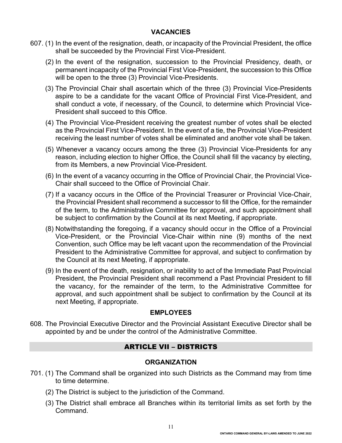#### **VACANCIES**

- 607. (1) In the event of the resignation, death, or incapacity of the Provincial President, the office shall be succeeded by the Provincial First Vice-President.
	- (2) In the event of the resignation, succession to the Provincial Presidency, death, or permanent incapacity of the Provincial First Vice-President, the succession to this Office will be open to the three (3) Provincial Vice-Presidents.
	- (3) The Provincial Chair shall ascertain which of the three (3) Provincial Vice-Presidents aspire to be a candidate for the vacant Office of Provincial First Vice-President, and shall conduct a vote, if necessary, of the Council, to determine which Provincial Vice-President shall succeed to this Office.
	- (4) The Provincial Vice-President receiving the greatest number of votes shall be elected as the Provincial First Vice-President. In the event of a tie, the Provincial Vice-President receiving the least number of votes shall be eliminated and another vote shall be taken.
	- (5) Whenever a vacancy occurs among the three (3) Provincial Vice-Presidents for any reason, including election to higher Office, the Council shall fill the vacancy by electing, from its Members, a new Provincial Vice-President.
	- (6) In the event of a vacancy occurring in the Office of Provincial Chair, the Provincial Vice-Chair shall succeed to the Office of Provincial Chair.
	- (7) If a vacancy occurs in the Office of the Provincial Treasurer or Provincial Vice-Chair, the Provincial President shall recommend a successor to fill the Office, for the remainder of the term, to the Administrative Committee for approval, and such appointment shall be subject to confirmation by the Council at its next Meeting, if appropriate.
	- (8) Notwithstanding the foregoing, if a vacancy should occur in the Office of a Provincial Vice-President, or the Provincial Vice-Chair within nine (9) months of the next Convention, such Office may be left vacant upon the recommendation of the Provincial President to the Administrative Committee for approval, and subject to confirmation by the Council at its next Meeting, if appropriate.
	- (9) In the event of the death, resignation, or inability to act of the Immediate Past Provincial President, the Provincial President shall recommend a Past Provincial President to fill the vacancy, for the remainder of the term, to the Administrative Committee for approval, and such appointment shall be subject to confirmation by the Council at its next Meeting, if appropriate.

# **EMPLOYEES**

608. The Provincial Executive Director and the Provincial Assistant Executive Director shall be appointed by and be under the control of the Administrative Committee.

# ARTICLE VII – DISTRICTS

#### **ORGANIZATION**

- 701. (1) The Command shall be organized into such Districts as the Command may from time to time determine.
	- (2) The District is subject to the jurisdiction of the Command.
	- (3) The District shall embrace all Branches within its territorial limits as set forth by the Command.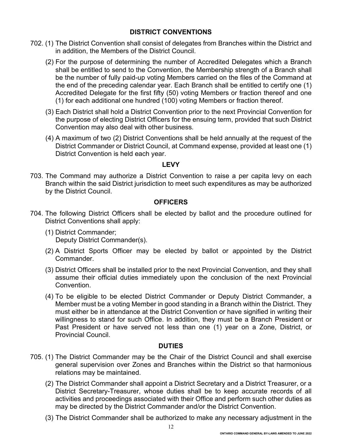#### **DISTRICT CONVENTIONS**

- 702. (1) The District Convention shall consist of delegates from Branches within the District and in addition, the Members of the District Council.
	- (2) For the purpose of determining the number of Accredited Delegates which a Branch shall be entitled to send to the Convention, the Membership strength of a Branch shall be the number of fully paid-up voting Members carried on the files of the Command at the end of the preceding calendar year. Each Branch shall be entitled to certify one (1) Accredited Delegate for the first fifty (50) voting Members or fraction thereof and one (1) for each additional one hundred (100) voting Members or fraction thereof.
	- (3) Each District shall hold a District Convention prior to the next Provincial Convention for the purpose of electing District Officers for the ensuing term, provided that such District Convention may also deal with other business.
	- (4) A maximum of two (2) District Conventions shall be held annually at the request of the District Commander or District Council, at Command expense, provided at least one (1) District Convention is held each year.

#### **LEVY**

703. The Command may authorize a District Convention to raise a per capita levy on each Branch within the said District jurisdiction to meet such expenditures as may be authorized by the District Council.

#### **OFFICERS**

- 704. The following District Officers shall be elected by ballot and the procedure outlined for District Conventions shall apply:
	- (1) District Commander; Deputy District Commander(s).
	- (2) A District Sports Officer may be elected by ballot or appointed by the District Commander.
	- (3) District Officers shall be installed prior to the next Provincial Convention, and they shall assume their official duties immediately upon the conclusion of the next Provincial **Convention**
	- (4) To be eligible to be elected District Commander or Deputy District Commander, a Member must be a voting Member in good standing in a Branch within the District. They must either be in attendance at the District Convention or have signified in writing their willingness to stand for such Office. In addition, they must be a Branch President or Past President or have served not less than one (1) year on a Zone, District, or Provincial Council.

#### **DUTIES**

- 705. (1) The District Commander may be the Chair of the District Council and shall exercise general supervision over Zones and Branches within the District so that harmonious relations may be maintained.
	- (2) The District Commander shall appoint a District Secretary and a District Treasurer, or a District Secretary-Treasurer, whose duties shall be to keep accurate records of all activities and proceedings associated with their Office and perform such other duties as may be directed by the District Commander and/or the District Convention.
	- (3) The District Commander shall be authorized to make any necessary adjustment in the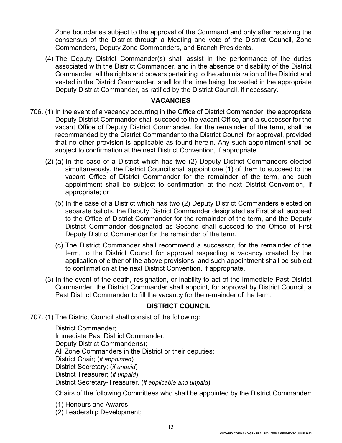Zone boundaries subject to the approval of the Command and only after receiving the consensus of the District through a Meeting and vote of the District Council, Zone Commanders, Deputy Zone Commanders, and Branch Presidents.

(4) The Deputy District Commander(s) shall assist in the performance of the duties associated with the District Commander, and in the absence or disability of the District Commander, all the rights and powers pertaining to the administration of the District and vested in the District Commander, shall for the time being, be vested in the appropriate Deputy District Commander, as ratified by the District Council, if necessary.

#### **VACANCIES**

- 706. (1) In the event of a vacancy occurring in the Office of District Commander, the appropriate Deputy District Commander shall succeed to the vacant Office, and a successor for the vacant Office of Deputy District Commander, for the remainder of the term, shall be recommended by the District Commander to the District Council for approval, provided that no other provision is applicable as found herein. Any such appointment shall be subject to confirmation at the next District Convention, if appropriate.
	- (2) (a) In the case of a District which has two (2) Deputy District Commanders elected simultaneously, the District Council shall appoint one (1) of them to succeed to the vacant Office of District Commander for the remainder of the term, and such appointment shall be subject to confirmation at the next District Convention, if appropriate; or
		- (b) In the case of a District which has two (2) Deputy District Commanders elected on separate ballots, the Deputy District Commander designated as First shall succeed to the Office of District Commander for the remainder of the term, and the Deputy District Commander designated as Second shall succeed to the Office of First Deputy District Commander for the remainder of the term.
		- (c) The District Commander shall recommend a successor, for the remainder of the term, to the District Council for approval respecting a vacancy created by the application of either of the above provisions, and such appointment shall be subject to confirmation at the next District Convention, if appropriate.
	- (3) In the event of the death, resignation, or inability to act of the Immediate Past District Commander, the District Commander shall appoint, for approval by District Council, a Past District Commander to fill the vacancy for the remainder of the term.

# **DISTRICT COUNCIL**

707. (1) The District Council shall consist of the following:

District Commander; Immediate Past District Commander; Deputy District Commander(s); All Zone Commanders in the District or their deputies; District Chair; (*if appointed*) District Secretary; (*if unpaid*) District Treasurer; (*if unpaid*) District Secretary-Treasurer. (*if applicable and unpaid*)

Chairs of the following Committees who shall be appointed by the District Commander:

(1) Honours and Awards;

(2) Leadership Development;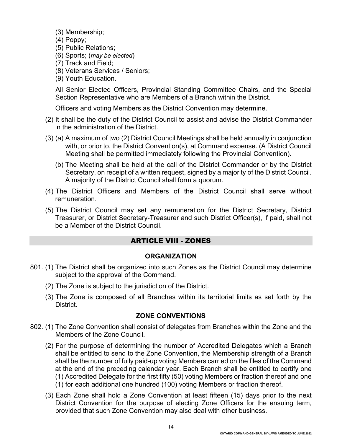- (3) Membership;
- (4) Poppy;
- (5) Public Relations;
- (6) Sports; (*may be elected*)
- (7) Track and Field;
- (8) Veterans Services / Seniors;
- (9) Youth Education.

All Senior Elected Officers, Provincial Standing Committee Chairs, and the Special Section Representative who are Members of a Branch within the District.

Officers and voting Members as the District Convention may determine.

- (2) It shall be the duty of the District Council to assist and advise the District Commander in the administration of the District.
- (3) (a) A maximum of two (2) District Council Meetings shall be held annually in conjunction with, or prior to, the District Convention(s), at Command expense. (A District Council Meeting shall be permitted immediately following the Provincial Convention).
	- (b) The Meeting shall be held at the call of the District Commander or by the District Secretary, on receipt of a written request, signed by a majority of the District Council. A majority of the District Council shall form a quorum.
- (4) The District Officers and Members of the District Council shall serve without remuneration.
- (5) The District Council may set any remuneration for the District Secretary, District Treasurer, or District Secretary-Treasurer and such District Officer(s), if paid, shall not be a Member of the District Council.

# ARTICLE VIII - ZONES

#### **ORGANIZATION**

- 801. (1) The District shall be organized into such Zones as the District Council may determine subject to the approval of the Command.
	- (2) The Zone is subject to the jurisdiction of the District.
	- (3) The Zone is composed of all Branches within its territorial limits as set forth by the District.

#### **ZONE CONVENTIONS**

- 802. (1) The Zone Convention shall consist of delegates from Branches within the Zone and the Members of the Zone Council.
	- (2) For the purpose of determining the number of Accredited Delegates which a Branch shall be entitled to send to the Zone Convention, the Membership strength of a Branch shall be the number of fully paid-up voting Members carried on the files of the Command at the end of the preceding calendar year. Each Branch shall be entitled to certify one (1) Accredited Delegate for the first fifty (50) voting Members or fraction thereof and one (1) for each additional one hundred (100) voting Members or fraction thereof.
	- (3) Each Zone shall hold a Zone Convention at least fifteen (15) days prior to the next District Convention for the purpose of electing Zone Officers for the ensuing term, provided that such Zone Convention may also deal with other business.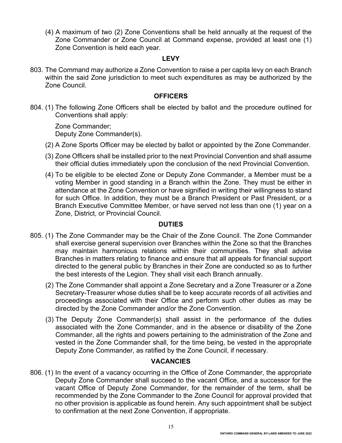(4) A maximum of two (2) Zone Conventions shall be held annually at the request of the Zone Commander or Zone Council at Command expense, provided at least one (1) Zone Convention is held each year.

#### **LEVY**

803. The Command may authorize a Zone Convention to raise a per capita levy on each Branch within the said Zone jurisdiction to meet such expenditures as may be authorized by the Zone Council.

#### **OFFICERS**

804. (1) The following Zone Officers shall be elected by ballot and the procedure outlined for Conventions shall apply:

Zone Commander; Deputy Zone Commander(s).

- (2) A Zone Sports Officer may be elected by ballot or appointed by the Zone Commander.
- (3) Zone Officers shall be installed prior to the next Provincial Convention and shall assume their official duties immediately upon the conclusion of the next Provincial Convention.
- (4) To be eligible to be elected Zone or Deputy Zone Commander, a Member must be a voting Member in good standing in a Branch within the Zone. They must be either in attendance at the Zone Convention or have signified in writing their willingness to stand for such Office. In addition, they must be a Branch President or Past President, or a Branch Executive Committee Member, or have served not less than one (1) year on a Zone, District, or Provincial Council.

#### **DUTIES**

- 805. (1) The Zone Commander may be the Chair of the Zone Council. The Zone Commander shall exercise general supervision over Branches within the Zone so that the Branches may maintain harmonious relations within their communities. They shall advise Branches in matters relating to finance and ensure that all appeals for financial support directed to the general public by Branches in their Zone are conducted so as to further the best interests of the Legion. They shall visit each Branch annually.
	- (2) The Zone Commander shall appoint a Zone Secretary and a Zone Treasurer or a Zone Secretary-Treasurer whose duties shall be to keep accurate records of all activities and proceedings associated with their Office and perform such other duties as may be directed by the Zone Commander and/or the Zone Convention.
	- (3) The Deputy Zone Commander(s) shall assist in the performance of the duties associated with the Zone Commander, and in the absence or disability of the Zone Commander, all the rights and powers pertaining to the administration of the Zone and vested in the Zone Commander shall, for the time being, be vested in the appropriate Deputy Zone Commander, as ratified by the Zone Council, if necessary.

# **VACANCIES**

806. (1) In the event of a vacancy occurring in the Office of Zone Commander, the appropriate Deputy Zone Commander shall succeed to the vacant Office, and a successor for the vacant Office of Deputy Zone Commander, for the remainder of the term, shall be recommended by the Zone Commander to the Zone Council for approval provided that no other provision is applicable as found herein. Any such appointment shall be subject to confirmation at the next Zone Convention, if appropriate.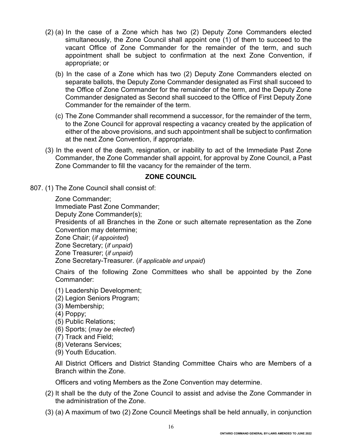- (2) (a) In the case of a Zone which has two (2) Deputy Zone Commanders elected simultaneously, the Zone Council shall appoint one (1) of them to succeed to the vacant Office of Zone Commander for the remainder of the term, and such appointment shall be subject to confirmation at the next Zone Convention, if appropriate; or
	- (b) In the case of a Zone which has two (2) Deputy Zone Commanders elected on separate ballots, the Deputy Zone Commander designated as First shall succeed to the Office of Zone Commander for the remainder of the term, and the Deputy Zone Commander designated as Second shall succeed to the Office of First Deputy Zone Commander for the remainder of the term.
	- (c) The Zone Commander shall recommend a successor, for the remainder of the term, to the Zone Council for approval respecting a vacancy created by the application of either of the above provisions, and such appointment shall be subject to confirmation at the next Zone Convention, if appropriate.
- (3) In the event of the death, resignation, or inability to act of the Immediate Past Zone Commander, the Zone Commander shall appoint, for approval by Zone Council, a Past Zone Commander to fill the vacancy for the remainder of the term.

# **ZONE COUNCIL**

807. (1) The Zone Council shall consist of:

Zone Commander; Immediate Past Zone Commander; Deputy Zone Commander(s); Presidents of all Branches in the Zone or such alternate representation as the Zone Convention may determine; Zone Chair; (*if appointed*) Zone Secretary; (*if unpaid*) Zone Treasurer; (*if unpaid*) Zone Secretary-Treasurer. (*if applicable and unpaid*)

- Chairs of the following Zone Committees who shall be appointed by the Zone Commander:
- (1) Leadership Development;
- (2) Legion Seniors Program;
- (3) Membership;
- (4) Poppy;
- (5) Public Relations;
- (6) Sports; (*may be elected*)
- (7) Track and Field;
- (8) Veterans Services;
- (9) Youth Education.

All District Officers and District Standing Committee Chairs who are Members of a Branch within the Zone.

Officers and voting Members as the Zone Convention may determine.

- (2) It shall be the duty of the Zone Council to assist and advise the Zone Commander in the administration of the Zone.
- (3) (a) A maximum of two (2) Zone Council Meetings shall be held annually, in conjunction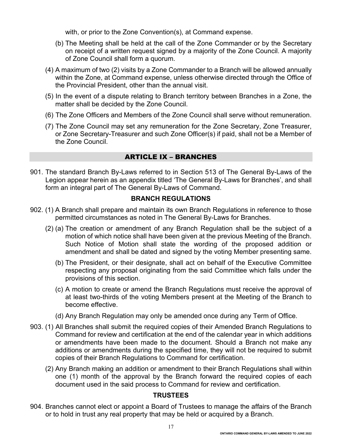with, or prior to the Zone Convention(s), at Command expense.

- (b) The Meeting shall be held at the call of the Zone Commander or by the Secretary on receipt of a written request signed by a majority of the Zone Council. A majority of Zone Council shall form a quorum.
- (4) A maximum of two (2) visits by a Zone Commander to a Branch will be allowed annually within the Zone, at Command expense, unless otherwise directed through the Office of the Provincial President, other than the annual visit.
- (5) In the event of a dispute relating to Branch territory between Branches in a Zone, the matter shall be decided by the Zone Council.
- (6) The Zone Officers and Members of the Zone Council shall serve without remuneration.
- (7) The Zone Council may set any remuneration for the Zone Secretary, Zone Treasurer, or Zone Secretary-Treasurer and such Zone Officer(s) if paid, shall not be a Member of the Zone Council.

# ARTICLE IX – BRANCHES

901. The standard Branch By-Laws referred to in Section 513 of The General By-Laws of the Legion appear herein as an appendix titled 'The General By-Laws for Branches', and shall form an integral part of The General By-Laws of Command.

#### **BRANCH REGULATIONS**

- 902. (1) A Branch shall prepare and maintain its own Branch Regulations in reference to those permitted circumstances as noted in The General By-Laws for Branches.
	- (2) (a) The creation or amendment of any Branch Regulation shall be the subject of a motion of which notice shall have been given at the previous Meeting of the Branch. Such Notice of Motion shall state the wording of the proposed addition or amendment and shall be dated and signed by the voting Member presenting same.
		- (b) The President, or their designate, shall act on behalf of the Executive Committee respecting any proposal originating from the said Committee which falls under the provisions of this section.
		- (c) A motion to create or amend the Branch Regulations must receive the approval of at least two-thirds of the voting Members present at the Meeting of the Branch to become effective.
		- (d) Any Branch Regulation may only be amended once during any Term of Office.
- 903. (1) All Branches shall submit the required copies of their Amended Branch Regulations to Command for review and certification at the end of the calendar year in which additions or amendments have been made to the document. Should a Branch not make any additions or amendments during the specified time, they will not be required to submit copies of their Branch Regulations to Command for certification.
	- (2) Any Branch making an addition or amendment to their Branch Regulations shall within one (1) month of the approval by the Branch forward the required copies of each document used in the said process to Command for review and certification.

#### **TRUSTEES**

904. Branches cannot elect or appoint a Board of Trustees to manage the affairs of the Branch or to hold in trust any real property that may be held or acquired by a Branch.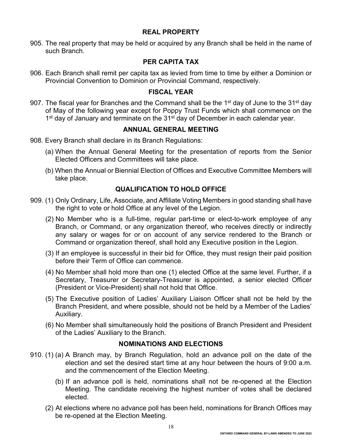## **REAL PROPERTY**

905. The real property that may be held or acquired by any Branch shall be held in the name of such Branch.

#### **PER CAPITA TAX**

906. Each Branch shall remit per capita tax as levied from time to time by either a Dominion or Provincial Convention to Dominion or Provincial Command, respectively.

#### **FISCAL YEAR**

907. The fiscal year for Branches and the Command shall be the 1<sup>st</sup> day of June to the 31<sup>st</sup> day of May of the following year except for Poppy Trust Funds which shall commence on the 1<sup>st</sup> day of January and terminate on the 31<sup>st</sup> day of December in each calendar year.

## **ANNUAL GENERAL MEETING**

- 908. Every Branch shall declare in its Branch Regulations:
	- (a) When the Annual General Meeting for the presentation of reports from the Senior Elected Officers and Committees will take place.
	- (b) When the Annual or Biennial Election of Offices and Executive Committee Members will take place.

## **QUALIFICATION TO HOLD OFFICE**

- 909. (1) Only Ordinary, Life, Associate, and Affiliate Voting Members in good standing shall have the right to vote or hold Office at any level of the Legion.
	- (2) No Member who is a full-time, regular part-time or elect-to-work employee of any Branch, or Command, or any organization thereof, who receives directly or indirectly any salary or wages for or on account of any service rendered to the Branch or Command or organization thereof, shall hold any Executive position in the Legion.
	- (3) If an employee is successful in their bid for Office, they must resign their paid position before their Term of Office can commence.
	- (4) No Member shall hold more than one (1) elected Office at the same level. Further, if a Secretary, Treasurer or Secretary-Treasurer is appointed, a senior elected Officer (President or Vice-President) shall not hold that Office.
	- (5) The Executive position of Ladies' Auxiliary Liaison Officer shall not be held by the Branch President, and where possible, should not be held by a Member of the Ladies' Auxiliary.
	- (6) No Member shall simultaneously hold the positions of Branch President and President of the Ladies' Auxiliary to the Branch.

#### **NOMINATIONS AND ELECTIONS**

- 910. (1) (a) A Branch may, by Branch Regulation, hold an advance poll on the date of the election and set the desired start time at any hour between the hours of 9:00 a.m. and the commencement of the Election Meeting.
	- (b) If an advance poll is held, nominations shall not be re-opened at the Election Meeting. The candidate receiving the highest number of votes shall be declared elected.
	- (2) At elections where no advance poll has been held, nominations for Branch Offices may be re-opened at the Election Meeting.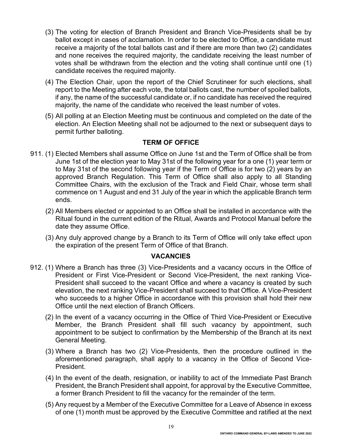- (3) The voting for election of Branch President and Branch Vice-Presidents shall be by ballot except in cases of acclamation. In order to be elected to Office, a candidate must receive a majority of the total ballots cast and if there are more than two (2) candidates and none receives the required majority, the candidate receiving the least number of votes shall be withdrawn from the election and the voting shall continue until one (1) candidate receives the required majority.
- (4) The Election Chair, upon the report of the Chief Scrutineer for such elections, shall report to the Meeting after each vote, the total ballots cast, the number of spoiled ballots, if any, the name of the successful candidate or, if no candidate has received the required majority, the name of the candidate who received the least number of votes.
- (5) All polling at an Election Meeting must be continuous and completed on the date of the election. An Election Meeting shall not be adjourned to the next or subsequent days to permit further balloting.

## **TERM OF OFFICE**

- 911. (1) Elected Members shall assume Office on June 1st and the Term of Office shall be from June 1st of the election year to May 31st of the following year for a one (1) year term or to May 31st of the second following year if the Term of Office is for two (2) years by an approved Branch Regulation. This Term of Office shall also apply to all Standing Committee Chairs, with the exclusion of the Track and Field Chair, whose term shall commence on 1 August and end 31 July of the year in which the applicable Branch term ends.
	- (2) All Members elected or appointed to an Office shall be installed in accordance with the Ritual found in the current edition of the Ritual, Awards and Protocol Manual before the date they assume Office.
	- (3) Any duly approved change by a Branch to its Term of Office will only take effect upon the expiration of the present Term of Office of that Branch.

#### **VACANCIES**

- 912. (1) Where a Branch has three (3) Vice-Presidents and a vacancy occurs in the Office of President or First Vice-President or Second Vice-President, the next ranking Vice-President shall succeed to the vacant Office and where a vacancy is created by such elevation, the next ranking Vice-President shall succeed to that Office. A Vice-President who succeeds to a higher Office in accordance with this provision shall hold their new Office until the next election of Branch Officers.
	- (2) In the event of a vacancy occurring in the Office of Third Vice-President or Executive Member, the Branch President shall fill such vacancy by appointment, such appointment to be subject to confirmation by the Membership of the Branch at its next General Meeting.
	- (3) Where a Branch has two (2) Vice-Presidents, then the procedure outlined in the aforementioned paragraph, shall apply to a vacancy in the Office of Second Vice-President.
	- (4) In the event of the death, resignation, or inability to act of the Immediate Past Branch President, the Branch President shall appoint, for approval by the Executive Committee, a former Branch President to fill the vacancy for the remainder of the term.
	- (5) Any request by a Member of the Executive Committee for a Leave of Absence in excess of one (1) month must be approved by the Executive Committee and ratified at the next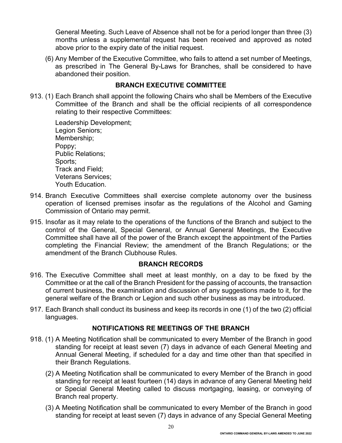General Meeting. Such Leave of Absence shall not be for a period longer than three (3) months unless a supplemental request has been received and approved as noted above prior to the expiry date of the initial request.

(6) Any Member of the Executive Committee, who fails to attend a set number of Meetings, as prescribed in The General By-Laws for Branches, shall be considered to have abandoned their position.

# **BRANCH EXECUTIVE COMMITTEE**

913. (1) Each Branch shall appoint the following Chairs who shall be Members of the Executive Committee of the Branch and shall be the official recipients of all correspondence relating to their respective Committees:

Leadership Development; Legion Seniors; Membership; Poppy; Public Relations; Sports; Track and Field; Veterans Services; Youth Education.

- 914. Branch Executive Committees shall exercise complete autonomy over the business operation of licensed premises insofar as the regulations of the Alcohol and Gaming Commission of Ontario may permit.
- 915. Insofar as it may relate to the operations of the functions of the Branch and subject to the control of the General, Special General, or Annual General Meetings, the Executive Committee shall have all of the power of the Branch except the appointment of the Parties completing the Financial Review; the amendment of the Branch Regulations; or the amendment of the Branch Clubhouse Rules.

#### **BRANCH RECORDS**

- 916. The Executive Committee shall meet at least monthly, on a day to be fixed by the Committee or at the call of the Branch President for the passing of accounts, the transaction of current business, the examination and discussion of any suggestions made to it, for the general welfare of the Branch or Legion and such other business as may be introduced.
- 917. Each Branch shall conduct its business and keep its records in one (1) of the two (2) official languages.

# **NOTIFICATIONS RE MEETINGS OF THE BRANCH**

- 918. (1) A Meeting Notification shall be communicated to every Member of the Branch in good standing for receipt at least seven (7) days in advance of each General Meeting and Annual General Meeting, if scheduled for a day and time other than that specified in their Branch Regulations.
	- (2) A Meeting Notification shall be communicated to every Member of the Branch in good standing for receipt at least fourteen (14) days in advance of any General Meeting held or Special General Meeting called to discuss mortgaging, leasing, or conveying of Branch real property.
	- (3) A Meeting Notification shall be communicated to every Member of the Branch in good standing for receipt at least seven (7) days in advance of any Special General Meeting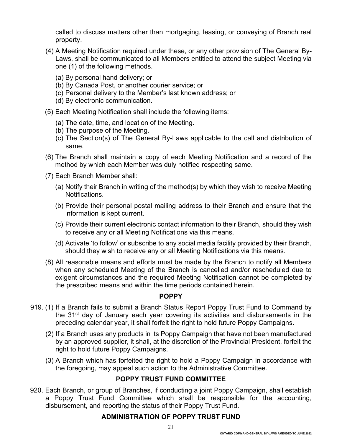called to discuss matters other than mortgaging, leasing, or conveying of Branch real property.

- (4) A Meeting Notification required under these, or any other provision of The General By-Laws, shall be communicated to all Members entitled to attend the subject Meeting via one (1) of the following methods.
	- (a) By personal hand delivery; or
	- (b) By Canada Post, or another courier service; or
	- (c) Personal delivery to the Member's last known address; or
	- (d) By electronic communication.
- (5) Each Meeting Notification shall include the following items:
	- (a) The date, time, and location of the Meeting.
	- (b) The purpose of the Meeting.
	- (c) The Section(s) of The General By-Laws applicable to the call and distribution of same.
- (6) The Branch shall maintain a copy of each Meeting Notification and a record of the method by which each Member was duly notified respecting same.
- (7) Each Branch Member shall:
	- (a) Notify their Branch in writing of the method(s) by which they wish to receive Meeting Notifications.
	- (b) Provide their personal postal mailing address to their Branch and ensure that the information is kept current.
	- (c) Provide their current electronic contact information to their Branch, should they wish to receive any or all Meeting Notifications via this means.
	- (d) Activate 'to follow' or subscribe to any social media facility provided by their Branch, should they wish to receive any or all Meeting Notifications via this means.
- (8) All reasonable means and efforts must be made by the Branch to notify all Members when any scheduled Meeting of the Branch is cancelled and/or rescheduled due to exigent circumstances and the required Meeting Notification cannot be completed by the prescribed means and within the time periods contained herein.

# **POPPY**

- 919. (1) If a Branch fails to submit a Branch Status Report Poppy Trust Fund to Command by the 31<sup>st</sup> day of January each year covering its activities and disbursements in the preceding calendar year, it shall forfeit the right to hold future Poppy Campaigns.
	- (2) If a Branch uses any products in its Poppy Campaign that have not been manufactured by an approved supplier, it shall, at the discretion of the Provincial President, forfeit the right to hold future Poppy Campaigns.
	- (3) A Branch which has forfeited the right to hold a Poppy Campaign in accordance with the foregoing, may appeal such action to the Administrative Committee.

# **POPPY TRUST FUND COMMITTEE**

920. Each Branch, or group of Branches, if conducting a joint Poppy Campaign, shall establish a Poppy Trust Fund Committee which shall be responsible for the accounting, disbursement, and reporting the status of their Poppy Trust Fund.

# **ADMINISTRATION OF POPPY TRUST FUND**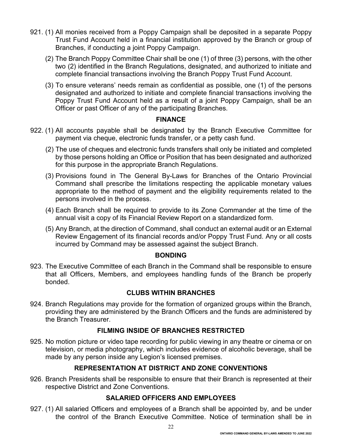- 921. (1) All monies received from a Poppy Campaign shall be deposited in a separate Poppy Trust Fund Account held in a financial institution approved by the Branch or group of Branches, if conducting a joint Poppy Campaign.
	- (2) The Branch Poppy Committee Chair shall be one (1) of three (3) persons, with the other two (2) identified in the Branch Regulations, designated, and authorized to initiate and complete financial transactions involving the Branch Poppy Trust Fund Account.
	- (3) To ensure veterans' needs remain as confidential as possible, one (1) of the persons designated and authorized to initiate and complete financial transactions involving the Poppy Trust Fund Account held as a result of a joint Poppy Campaign, shall be an Officer or past Officer of any of the participating Branches.

## **FINANCE**

- 922. (1) All accounts payable shall be designated by the Branch Executive Committee for payment via cheque, electronic funds transfer, or a petty cash fund.
	- (2) The use of cheques and electronic funds transfers shall only be initiated and completed by those persons holding an Office or Position that has been designated and authorized for this purpose in the appropriate Branch Regulations.
	- (3) Provisions found in The General By-Laws for Branches of the Ontario Provincial Command shall prescribe the limitations respecting the applicable monetary values appropriate to the method of payment and the eligibility requirements related to the persons involved in the process.
	- (4) Each Branch shall be required to provide to its Zone Commander at the time of the annual visit a copy of its Financial Review Report on a standardized form.
	- (5) Any Branch, at the direction of Command, shall conduct an external audit or an External Review Engagement of its financial records and/or Poppy Trust Fund. Any or all costs incurred by Command may be assessed against the subject Branch.

#### **BONDING**

923. The Executive Committee of each Branch in the Command shall be responsible to ensure that all Officers, Members, and employees handling funds of the Branch be properly bonded.

# **CLUBS WITHIN BRANCHES**

924. Branch Regulations may provide for the formation of organized groups within the Branch, providing they are administered by the Branch Officers and the funds are administered by the Branch Treasurer.

#### **FILMING INSIDE OF BRANCHES RESTRICTED**

925. No motion picture or video tape recording for public viewing in any theatre or cinema or on television, or media photography, which includes evidence of alcoholic beverage, shall be made by any person inside any Legion's licensed premises.

# **REPRESENTATION AT DISTRICT AND ZONE CONVENTIONS**

926. Branch Presidents shall be responsible to ensure that their Branch is represented at their respective District and Zone Conventions.

# **SALARIED OFFICERS AND EMPLOYEES**

927. (1) All salaried Officers and employees of a Branch shall be appointed by, and be under the control of the Branch Executive Committee. Notice of termination shall be in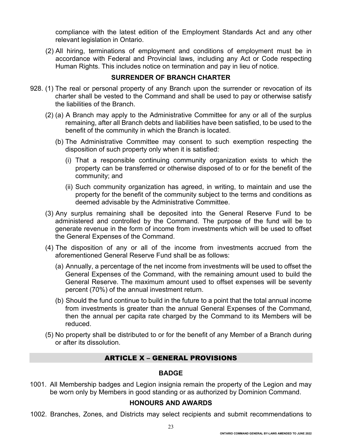compliance with the latest edition of the Employment Standards Act and any other relevant legislation in Ontario.

(2) All hiring, terminations of employment and conditions of employment must be in accordance with Federal and Provincial laws, including any Act or Code respecting Human Rights. This includes notice on termination and pay in lieu of notice.

#### **SURRENDER OF BRANCH CHARTER**

- 928. (1) The real or personal property of any Branch upon the surrender or revocation of its charter shall be vested to the Command and shall be used to pay or otherwise satisfy the liabilities of the Branch.
	- (2) (a) A Branch may apply to the Administrative Committee for any or all of the surplus remaining, after all Branch debts and liabilities have been satisfied, to be used to the benefit of the community in which the Branch is located.
		- (b) The Administrative Committee may consent to such exemption respecting the disposition of such property only when it is satisfied:
			- (i) That a responsible continuing community organization exists to which the property can be transferred or otherwise disposed of to or for the benefit of the community; and
			- (ii) Such community organization has agreed, in writing, to maintain and use the property for the benefit of the community subject to the terms and conditions as deemed advisable by the Administrative Committee.
	- (3) Any surplus remaining shall be deposited into the General Reserve Fund to be administered and controlled by the Command. The purpose of the fund will be to generate revenue in the form of income from investments which will be used to offset the General Expenses of the Command.
	- (4) The disposition of any or all of the income from investments accrued from the aforementioned General Reserve Fund shall be as follows:
		- (a) Annually, a percentage of the net income from investments will be used to offset the General Expenses of the Command, with the remaining amount used to build the General Reserve. The maximum amount used to offset expenses will be seventy percent (70%) of the annual investment return.
		- (b) Should the fund continue to build in the future to a point that the total annual income from investments is greater than the annual General Expenses of the Command, then the annual per capita rate charged by the Command to its Members will be reduced.
	- (5) No property shall be distributed to or for the benefit of any Member of a Branch during or after its dissolution.

# ARTICLE X – GENERAL PROVISIONS

#### **BADGE**

1001. All Membership badges and Legion insignia remain the property of the Legion and may be worn only by Members in good standing or as authorized by Dominion Command.

#### **HONOURS AND AWARDS**

1002. Branches, Zones, and Districts may select recipients and submit recommendations to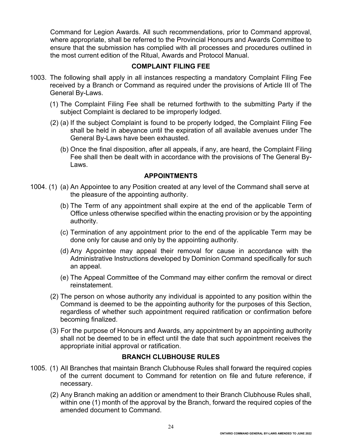Command for Legion Awards. All such recommendations, prior to Command approval, where appropriate, shall be referred to the Provincial Honours and Awards Committee to ensure that the submission has complied with all processes and procedures outlined in the most current edition of the Ritual, Awards and Protocol Manual.

## **COMPLAINT FILING FEE**

- 1003. The following shall apply in all instances respecting a mandatory Complaint Filing Fee received by a Branch or Command as required under the provisions of Article III of The General By-Laws.
	- (1) The Complaint Filing Fee shall be returned forthwith to the submitting Party if the subject Complaint is declared to be improperly lodged.
	- (2) (a) If the subject Complaint is found to be properly lodged, the Complaint Filing Fee shall be held in abeyance until the expiration of all available avenues under The General By-Laws have been exhausted.
		- (b) Once the final disposition, after all appeals, if any, are heard, the Complaint Filing Fee shall then be dealt with in accordance with the provisions of The General By-Laws.

#### **APPOINTMENTS**

- 1004. (1) (a) An Appointee to any Position created at any level of the Command shall serve at the pleasure of the appointing authority.
	- (b) The Term of any appointment shall expire at the end of the applicable Term of Office unless otherwise specified within the enacting provision or by the appointing authority.
	- (c) Termination of any appointment prior to the end of the applicable Term may be done only for cause and only by the appointing authority.
	- (d) Any Appointee may appeal their removal for cause in accordance with the Administrative Instructions developed by Dominion Command specifically for such an appeal.
	- (e) The Appeal Committee of the Command may either confirm the removal or direct reinstatement.
	- (2) The person on whose authority any individual is appointed to any position within the Command is deemed to be the appointing authority for the purposes of this Section, regardless of whether such appointment required ratification or confirmation before becoming finalized.
	- (3) For the purpose of Honours and Awards, any appointment by an appointing authority shall not be deemed to be in effect until the date that such appointment receives the appropriate initial approval or ratification.

#### **BRANCH CLUBHOUSE RULES**

- 1005. (1) All Branches that maintain Branch Clubhouse Rules shall forward the required copies of the current document to Command for retention on file and future reference, if necessary.
	- (2) Any Branch making an addition or amendment to their Branch Clubhouse Rules shall, within one (1) month of the approval by the Branch, forward the required copies of the amended document to Command.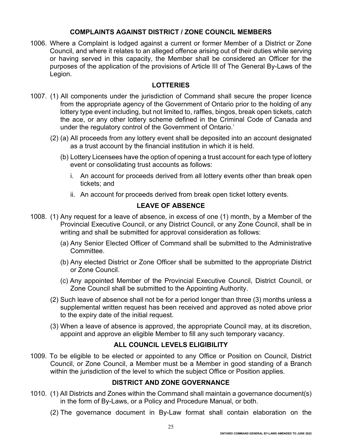## **COMPLAINTS AGAINST DISTRICT / ZONE COUNCIL MEMBERS**

1006. Where a Complaint is lodged against a current or former Member of a District or Zone Council, and where it relates to an alleged offence arising out of their duties while serving or having served in this capacity, the Member shall be considered an Officer for the purposes of the application of the provisions of Article III of The General By-Laws of the Legion.

# **LOTTERIES**

- 1007. (1) All components under the jurisdiction of Command shall secure the proper licence from the appropriate agency of the Government of Ontario prior to the holding of any lottery type event including, but not limited to, raffles, bingos, break open tickets, catch the ace, or any other lottery scheme defined in the Criminal Code of Canada and under the regulatory control of the Government of Ontario.'
	- (2) (a) All proceeds from any lottery event shall be deposited into an account designated as a trust account by the financial institution in which it is held.
		- (b) Lottery Licensees have the option of opening a trust account for each type of lottery event or consolidating trust accounts as follows:
			- i. An account for proceeds derived from all lottery events other than break open tickets; and
			- ii. An account for proceeds derived from break open ticket lottery events.

# **LEAVE OF ABSENCE**

- 1008. (1) Any request for a leave of absence, in excess of one (1) month, by a Member of the Provincial Executive Council, or any District Council, or any Zone Council, shall be in writing and shall be submitted for approval consideration as follows:
	- (a) Any Senior Elected Officer of Command shall be submitted to the Administrative Committee.
	- (b) Any elected District or Zone Officer shall be submitted to the appropriate District or Zone Council.
	- (c) Any appointed Member of the Provincial Executive Council, District Council, or Zone Council shall be submitted to the Appointing Authority.
	- (2) Such leave of absence shall not be for a period longer than three (3) months unless a supplemental written request has been received and approved as noted above prior to the expiry date of the initial request.
	- (3) When a leave of absence is approved, the appropriate Council may, at its discretion, appoint and approve an eligible Member to fill any such temporary vacancy.

# **ALL COUNCIL LEVELS ELIGIBILITY**

1009. To be eligible to be elected or appointed to any Office or Position on Council, District Council, or Zone Council, a Member must be a Member in good standing of a Branch within the jurisdiction of the level to which the subject Office or Position applies.

#### **DISTRICT AND ZONE GOVERNANCE**

- 1010. (1) All Districts and Zones within the Command shall maintain a governance document(s) in the form of By-Laws, or a Policy and Procedure Manual, or both.
	- (2) The governance document in By-Law format shall contain elaboration on the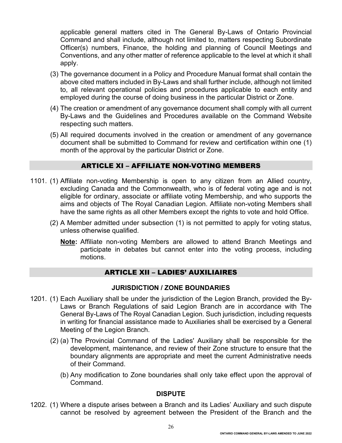applicable general matters cited in The General By-Laws of Ontario Provincial Command and shall include, although not limited to, matters respecting Subordinate Officer(s) numbers, Finance, the holding and planning of Council Meetings and Conventions, and any other matter of reference applicable to the level at which it shall apply.

- (3) The governance document in a Policy and Procedure Manual format shall contain the above cited matters included in By-Laws and shall further include, although not limited to, all relevant operational policies and procedures applicable to each entity and employed during the course of doing business in the particular District or Zone.
- (4) The creation or amendment of any governance document shall comply with all current By-Laws and the Guidelines and Procedures available on the Command Website respecting such matters.
- (5) All required documents involved in the creation or amendment of any governance document shall be submitted to Command for review and certification within one (1) month of the approval by the particular District or Zone.

## ARTICLE XI – AFFILIATE NON-VOTING MEMBERS

- 1101. (1) Affiliate non-voting Membership is open to any citizen from an Allied country, excluding Canada and the Commonwealth, who is of federal voting age and is not eligible for ordinary, associate or affiliate voting Membership, and who supports the aims and objects of The Royal Canadian Legion. Affiliate non-voting Members shall have the same rights as all other Members except the rights to vote and hold Office.
	- (2) A Member admitted under subsection (1) is not permitted to apply for voting status, unless otherwise qualified.
		- **Note:** Affiliate non-voting Members are allowed to attend Branch Meetings and participate in debates but cannot enter into the voting process, including motions.

# ARTICLE XII – LADIES' AUXILIAIRES

#### **JURISDICTION / ZONE BOUNDARIES**

- 1201. (1) Each Auxiliary shall be under the jurisdiction of the Legion Branch, provided the By-Laws or Branch Regulations of said Legion Branch are in accordance with The General By-Laws of The Royal Canadian Legion. Such jurisdiction, including requests in writing for financial assistance made to Auxiliaries shall be exercised by a General Meeting of the Legion Branch.
	- (2) (a) The Provincial Command of the Ladies' Auxiliary shall be responsible for the development, maintenance, and review of their Zone structure to ensure that the boundary alignments are appropriate and meet the current Administrative needs of their Command.
		- (b) Any modification to Zone boundaries shall only take effect upon the approval of Command.

#### **DISPUTE**

1202. (1) Where a dispute arises between a Branch and its Ladies' Auxiliary and such dispute cannot be resolved by agreement between the President of the Branch and the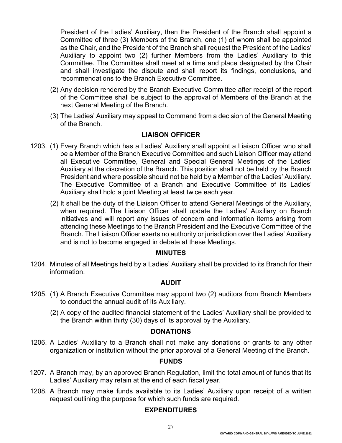President of the Ladies' Auxiliary, then the President of the Branch shall appoint a Committee of three (3) Members of the Branch, one (1) of whom shall be appointed as the Chair, and the President of the Branch shall request the President of the Ladies' Auxiliary to appoint two (2) further Members from the Ladies' Auxiliary to this Committee. The Committee shall meet at a time and place designated by the Chair and shall investigate the dispute and shall report its findings, conclusions, and recommendations to the Branch Executive Committee.

- (2) Any decision rendered by the Branch Executive Committee after receipt of the report of the Committee shall be subject to the approval of Members of the Branch at the next General Meeting of the Branch.
- (3) The Ladies' Auxiliary may appeal to Command from a decision of the General Meeting of the Branch.

# **LIAISON OFFICER**

- 1203. (1) Every Branch which has a Ladies' Auxiliary shall appoint a Liaison Officer who shall be a Member of the Branch Executive Committee and such Liaison Officer may attend all Executive Committee, General and Special General Meetings of the Ladies' Auxiliary at the discretion of the Branch. This position shall not be held by the Branch President and where possible should not be held by a Member of the Ladies' Auxiliary. The Executive Committee of a Branch and Executive Committee of its Ladies' Auxiliary shall hold a joint Meeting at least twice each year.
	- (2) It shall be the duty of the Liaison Officer to attend General Meetings of the Auxiliary, when required. The Liaison Officer shall update the Ladies' Auxiliary on Branch initiatives and will report any issues of concern and information items arising from attending these Meetings to the Branch President and the Executive Committee of the Branch. The Liaison Officer exerts no authority or jurisdiction over the Ladies' Auxiliary and is not to become engaged in debate at these Meetings.

#### **MINUTES**

1204. Minutes of all Meetings held by a Ladies' Auxiliary shall be provided to its Branch for their information.

#### **AUDIT**

- 1205. (1) A Branch Executive Committee may appoint two (2) auditors from Branch Members to conduct the annual audit of its Auxiliary.
	- (2) A copy of the audited financial statement of the Ladies' Auxiliary shall be provided to the Branch within thirty (30) days of its approval by the Auxiliary.

#### **DONATIONS**

1206. A Ladies' Auxiliary to a Branch shall not make any donations or grants to any other organization or institution without the prior approval of a General Meeting of the Branch.

## **FUNDS**

- 1207. A Branch may, by an approved Branch Regulation, limit the total amount of funds that its Ladies' Auxiliary may retain at the end of each fiscal year.
- 1208. A Branch may make funds available to its Ladies' Auxiliary upon receipt of a written request outlining the purpose for which such funds are required.

# **EXPENDITURES**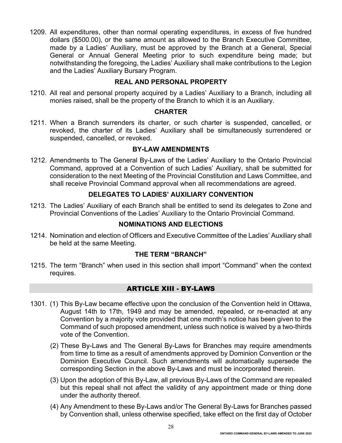1209. All expenditures, other than normal operating expenditures, in excess of five hundred dollars (\$500.00), or the same amount as allowed to the Branch Executive Committee, made by a Ladies' Auxiliary, must be approved by the Branch at a General, Special General or Annual General Meeting prior to such expenditure being made; but notwithstanding the foregoing, the Ladies' Auxiliary shall make contributions to the Legion and the Ladies' Auxiliary Bursary Program.

## **REAL AND PERSONAL PROPERTY**

1210. All real and personal property acquired by a Ladies' Auxiliary to a Branch, including all monies raised, shall be the property of the Branch to which it is an Auxiliary.

#### **CHARTER**

1211. When a Branch surrenders its charter, or such charter is suspended, cancelled, or revoked, the charter of its Ladies' Auxiliary shall be simultaneously surrendered or suspended, cancelled, or revoked.

#### **BY-LAW AMENDMENTS**

1212. Amendments to The General By-Laws of the Ladies' Auxiliary to the Ontario Provincial Command, approved at a Convention of such Ladies' Auxiliary, shall be submitted for consideration to the next Meeting of the Provincial Constitution and Laws Committee, and shall receive Provincial Command approval when all recommendations are agreed.

## **DELEGATES TO LADIES' AUXILIARY CONVENTION**

1213. The Ladies' Auxiliary of each Branch shall be entitled to send its delegates to Zone and Provincial Conventions of the Ladies' Auxiliary to the Ontario Provincial Command.

#### **NOMINATIONS AND ELECTIONS**

1214. Nomination and election of Officers and Executive Committee of the Ladies' Auxiliary shall be held at the same Meeting.

#### **THE TERM "BRANCH"**

1215. The term "Branch" when used in this section shall import "Command" when the context requires.

#### ARTICLE XIII - BY-LAWS

- 1301. (1) This By-Law became effective upon the conclusion of the Convention held in Ottawa, August 14th to 17th, 1949 and may be amended, repealed, or re-enacted at any Convention by a majority vote provided that one month's notice has been given to the Command of such proposed amendment, unless such notice is waived by a two-thirds vote of the Convention.
	- (2) These By-Laws and The General By-Laws for Branches may require amendments from time to time as a result of amendments approved by Dominion Convention or the Dominion Executive Council. Such amendments will automatically supersede the corresponding Section in the above By-Laws and must be incorporated therein.
	- (3) Upon the adoption of this By-Law, all previous By-Laws of the Command are repealed but this repeal shall not affect the validity of any appointment made or thing done under the authority thereof.
	- (4) Any Amendment to these By-Laws and/or The General By-Laws for Branches passed by Convention shall, unless otherwise specified, take effect on the first day of October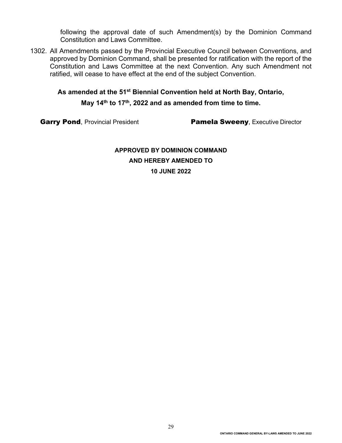following the approval date of such Amendment(s) by the Dominion Command Constitution and Laws Committee.

1302. All Amendments passed by the Provincial Executive Council between Conventions, and approved by Dominion Command, shall be presented for ratification with the report of the Constitution and Laws Committee at the next Convention. Any such Amendment not ratified, will cease to have effect at the end of the subject Convention.

# **As amended at the 51st Biennial Convention held at North Bay, Ontario,**

**May 14th to 17th, 2022 and as amended from time to time.**

Garry Pond, Provincial President **Pamela Sweeny**, Executive Director

**APPROVED BY DOMINION COMMAND AND HEREBY AMENDED TO 10 JUNE 2022**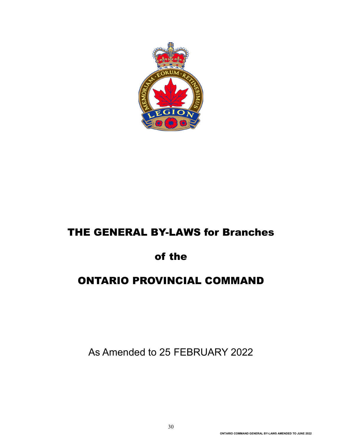

# THE GENERAL BY-LAWS for Branches

# of the

# ONTARIO PROVINCIAL COMMAND

As Amended to 25 FEBRUARY 2022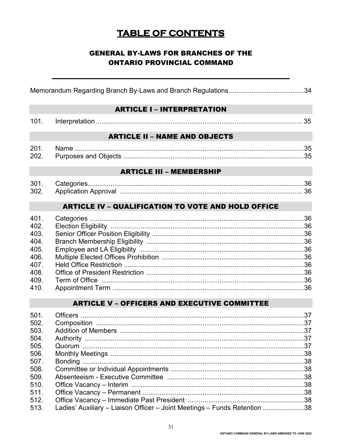# **TABLE OF CONTENTS**

# **GENERAL BY-LAWS FOR BRANCHES OF THE ONTARIO PROVINCIAL COMMAND**

#### **ARTICLE I - INTERPRETATION**

| 101 |  |  |  |
|-----|--|--|--|
|-----|--|--|--|

## **ARTICLE II - NAME AND OBJECTS**

| 201  | Name |  |
|------|------|--|
| 202. |      |  |

#### **ARTICLE III - MEMBERSHIP**

| 301  |  |
|------|--|
| 302. |  |

# **ARTICLE IV - QUALIFICATION TO VOTE AND HOLD OFFICE**

# **ARTICLE V - OFFICERS AND EXECUTIVE COMMITTEE**

| 501. |                                                                           |  |
|------|---------------------------------------------------------------------------|--|
| 502. |                                                                           |  |
| 503. |                                                                           |  |
| 504. |                                                                           |  |
| 505. |                                                                           |  |
| 506. |                                                                           |  |
| 507. |                                                                           |  |
| 508. |                                                                           |  |
| 509. |                                                                           |  |
| 510. |                                                                           |  |
| 511. |                                                                           |  |
| 512. |                                                                           |  |
| 513. | Ladies' Auxiliary - Liaison Officer - Joint Meetings - Funds Retention 38 |  |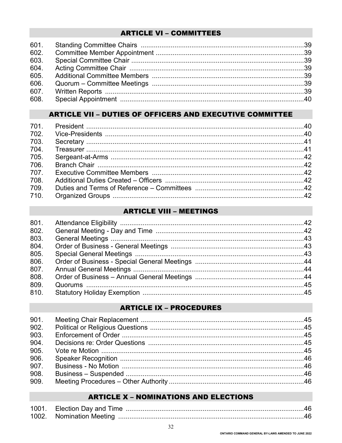# **ARTICLE VI - COMMITTEES**

| 601. |  |
|------|--|
| 602. |  |
| 603. |  |
| 604. |  |
| 605. |  |
| 606. |  |
| 607. |  |
| 608. |  |

# **ARTICLE VII - DUTIES OF OFFICERS AND EXECUTIVE COMMITTEE**

| 702. |  |
|------|--|
| 703. |  |
| 704. |  |
| 705. |  |
| 706. |  |
| 707. |  |
| 708. |  |
| 709. |  |
| 710. |  |
|      |  |

# **ARTICLE VIII - MEETINGS**

| 801. |  |
|------|--|
| 802. |  |
| 803. |  |
| 804. |  |
| 805. |  |
| 806. |  |
| 807. |  |
| 808. |  |
| 809. |  |
| 810. |  |
|      |  |

# **ARTICLE IX - PROCEDURES**

| 901. |  |
|------|--|
| 902. |  |
| 903. |  |
| 904. |  |
| 905. |  |
| 906. |  |
| 907. |  |
| 908. |  |
| 909. |  |

# **ARTICLE X - NOMINATIONS AND ELECTIONS**

| 1002. Nomination Meeting |  |
|--------------------------|--|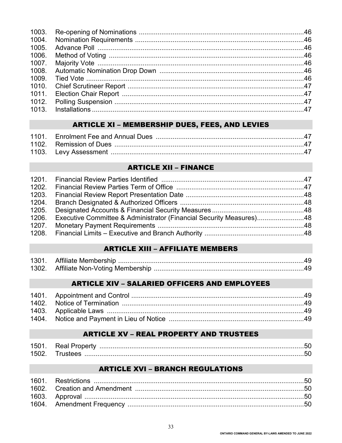| 1003. |  |
|-------|--|
| 1004. |  |
| 1005. |  |
| 1006. |  |
|       |  |
| 1008. |  |
| 1009. |  |
|       |  |
| 1011. |  |
|       |  |
|       |  |

# **ARTICLE XI - MEMBERSHIP DUES, FEES, AND LEVIES**

# **ARTICLE XII - FINANCE**

| 1205. |                                                                           |  |
|-------|---------------------------------------------------------------------------|--|
|       | 1206. Executive Committee & Administrator (Financial Security Measures)48 |  |
|       |                                                                           |  |
|       |                                                                           |  |

# **ARTICLE XIII - AFFILIATE MEMBERS**

| 1301. |                                    |  |
|-------|------------------------------------|--|
| 1302. | 4. Affiliate Non-Voting Membership |  |

# **ARTICLE XIV - SALARIED OFFICERS AND EMPLOYEES**

# **ARTICLE XV - REAL PROPERTY AND TRUSTEES**

| 150า | Real Pi |  |
|------|---------|--|
| 1501 |         |  |

# **ARTICLE XVI - BRANCH REGULATIONS**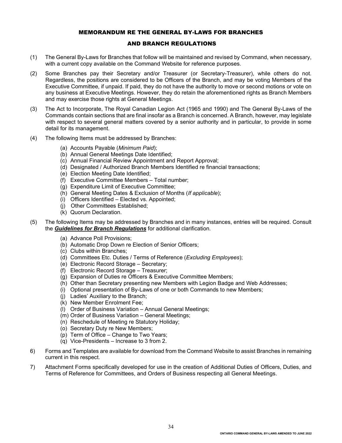#### MEMORANDUM RE THE GENERAL BY-LAWS FOR BRANCHES

#### AND BRANCH REGULATIONS

- (1) The General By-Laws for Branches that follow will be maintained and revised by Command, when necessary, with a current copy available on the Command Website for reference purposes.
- (2) Some Branches pay their Secretary and/or Treasurer (or Secretary-Treasurer), while others do not. Regardless, the positions are considered to be Officers of the Branch, and may be voting Members of the Executive Committee, if unpaid. If paid, they do not have the authority to move or second motions or vote on any business at Executive Meetings. However, they do retain the aforementioned rights as Branch Members and may exercise those rights at General Meetings.
- (3) The Act to Incorporate, The Royal Canadian Legion Act (1965 and 1990) and The General By-Laws of the Commands contain sections that are final insofar as a Branch is concerned. A Branch, however, may legislate with respect to several general matters covered by a senior authority and in particular, to provide in some detail for its management.
- (4) The following Items must be addressed by Branches:
	- (a) Accounts Payable (*Minimum Paid*);
	- (b) Annual General Meetings Date Identified;
	- (c) Annual Financial Review Appointment and Report Approval;
	- (d) Designated / Authorized Branch Members Identified re financial transactions;
	- (e) Election Meeting Date Identified;
	- (f) Executive Committee Members Total number;
	- (g) Expenditure Limit of Executive Committee;
	- (h) General Meeting Dates & Exclusion of Months (*If applicable*);
	- (i) Officers Identified Elected vs. Appointed;
	- (j) Other Committees Established;
	- (k) Quorum Declaration.
- (5) The following Items may be addressed by Branches and in many instances, entries will be required. Consult the *Guidelines for Branch Regulations* for additional clarification.
	- (a) Advance Poll Provisions;
	- (b) Automatic Drop Down re Election of Senior Officers;
	- (c) Clubs within Branches;
	- (d) Committees Etc. Duties / Terms of Reference (*Excluding Employees*);
	- (e) Electronic Record Storage Secretary;
	- (f) Electronic Record Storage Treasurer;
	- (g) Expansion of Duties re Officers & Executive Committee Members;
	- (h) Other than Secretary presenting new Members with Legion Badge and Web Addresses;
	- (i) Optional presentation of By-Laws of one or both Commands to new Members;
	- (j) Ladies' Auxiliary to the Branch;
	- (k) New Member Enrolment Fee;
	- (l) Order of Business Variation Annual General Meetings;
	- (m) Order of Business Variation General Meetings;
	- (n) Reschedule of Meeting re Statutory Holiday;
	- (o) Secretary Duty re New Members;
	- (p) Term of Office Change to Two Years;
	- (q) Vice-Presidents Increase to 3 from 2.
- 6) Forms and Templates are available for download from the Command Website to assist Branches in remaining current in this respect.
- 7) Attachment Forms specifically developed for use in the creation of Additional Duties of Officers, Duties, and Terms of Reference for Committees, and Orders of Business respecting all General Meetings.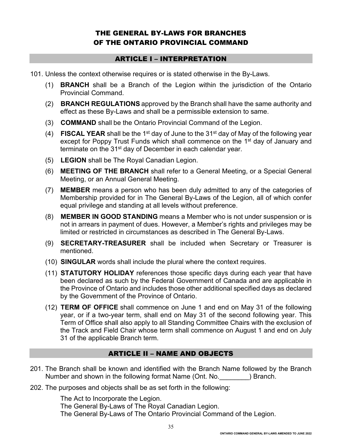# THE GENERAL BY-LAWS FOR BRANCHES OF THE ONTARIO PROVINCIAL COMMAND

#### ARTICLE I – INTERPRETATION

- 101. Unless the context otherwise requires or is stated otherwise in the By-Laws.
	- (1) **BRANCH** shall be a Branch of the Legion within the jurisdiction of the Ontario Provincial Command.
	- (2) **BRANCH REGULATIONS** approved by the Branch shall have the same authority and effect as these By-Laws and shall be a permissible extension to same.
	- (3) **COMMAND** shall be the Ontario Provincial Command of the Legion.
	- (4) **FISCAL YEAR** shall be the 1st day of June to the 31st day of May of the following year except for Poppy Trust Funds which shall commence on the 1<sup>st</sup> day of January and terminate on the 31<sup>st</sup> day of December in each calendar year.
	- (5) **LEGION** shall be The Royal Canadian Legion.
	- (6) **MEETING OF THE BRANCH** shall refer to a General Meeting, or a Special General Meeting, or an Annual General Meeting.
	- (7) **MEMBER** means a person who has been duly admitted to any of the categories of Membership provided for in The General By-Laws of the Legion, all of which confer equal privilege and standing at all levels without preference.
	- (8) **MEMBER IN GOOD STANDING** means a Member who is not under suspension or is not in arrears in payment of dues. However, a Member's rights and privileges may be limited or restricted in circumstances as described in The General By-Laws.
	- (9) **SECRETARY-TREASURER** shall be included when Secretary or Treasurer is mentioned.
	- (10) **SINGULAR** words shall include the plural where the context requires.
	- (11) **STATUTORY HOLIDAY** references those specific days during each year that have been declared as such by the Federal Government of Canada and are applicable in the Province of Ontario and includes those other additional specified days as declared by the Government of the Province of Ontario.
	- (12) **TERM OF OFFICE** shall commence on June 1 and end on May 31 of the following year, or if a two-year term, shall end on May 31 of the second following year. This Term of Office shall also apply to all Standing Committee Chairs with the exclusion of the Track and Field Chair whose term shall commence on August 1 and end on July 31 of the applicable Branch term.

# ARTICLE II – NAME AND OBJECTS

- 201. The Branch shall be known and identified with the Branch Name followed by the Branch Number and shown in the following format Name (Ont. No.  $\qquad \qquad$ ) Branch.
- 202. The purposes and objects shall be as set forth in the following:

The Act to Incorporate the Legion. The General By-Laws of The Royal Canadian Legion. The General By-Laws of The Ontario Provincial Command of the Legion.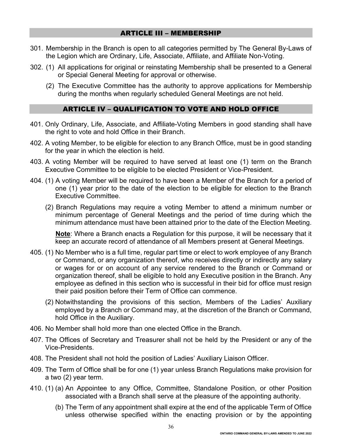#### ARTICLE III – MEMBERSHIP

- 301. Membership in the Branch is open to all categories permitted by The General By-Laws of the Legion which are Ordinary, Life, Associate, Affiliate, and Affiliate Non-Voting.
- 302. (1) All applications for original or reinstating Membership shall be presented to a General or Special General Meeting for approval or otherwise.
	- (2) The Executive Committee has the authority to approve applications for Membership during the months when regularly scheduled General Meetings are not held.

#### ARTICLE IV – QUALIFICATION TO VOTE AND HOLD OFFICE

- 401. Only Ordinary, Life, Associate, and Affiliate-Voting Members in good standing shall have the right to vote and hold Office in their Branch.
- 402. A voting Member, to be eligible for election to any Branch Office, must be in good standing for the year in which the election is held.
- 403. A voting Member will be required to have served at least one (1) term on the Branch Executive Committee to be eligible to be elected President or Vice-President.
- 404. (1) A voting Member will be required to have been a Member of the Branch for a period of one (1) year prior to the date of the election to be eligible for election to the Branch Executive Committee.
	- (2) Branch Regulations may require a voting Member to attend a minimum number or minimum percentage of General Meetings and the period of time during which the minimum attendance must have been attained prior to the date of the Election Meeting.

**Note**: Where a Branch enacts a Regulation for this purpose, it will be necessary that it keep an accurate record of attendance of all Members present at General Meetings.

- 405. (1) No Member who is a full time, regular part time or elect to work employee of any Branch or Command, or any organization thereof, who receives directly or indirectly any salary or wages for or on account of any service rendered to the Branch or Command or organization thereof, shall be eligible to hold any Executive position in the Branch. Any employee as defined in this section who is successful in their bid for office must resign their paid position before their Term of Office can commence.
	- (2) Notwithstanding the provisions of this section, Members of the Ladies' Auxiliary employed by a Branch or Command may, at the discretion of the Branch or Command, hold Office in the Auxiliary.
- 406. No Member shall hold more than one elected Office in the Branch.
- 407. The Offices of Secretary and Treasurer shall not be held by the President or any of the Vice-Presidents.
- 408. The President shall not hold the position of Ladies' Auxiliary Liaison Officer.
- 409. The Term of Office shall be for one (1) year unless Branch Regulations make provision for a two (2) year term.
- 410. (1) (a) An Appointee to any Office, Committee, Standalone Position, or other Position associated with a Branch shall serve at the pleasure of the appointing authority.
	- (b) The Term of any appointment shall expire at the end of the applicable Term of Office unless otherwise specified within the enacting provision or by the appointing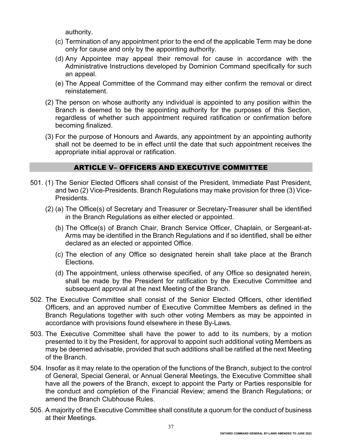authority.

- (c) Termination of any appointment prior to the end of the applicable Term may be done only for cause and only by the appointing authority.
- (d) Any Appointee may appeal their removal for cause in accordance with the Administrative Instructions developed by Dominion Command specifically for such an appeal.
- (e) The Appeal Committee of the Command may either confirm the removal or direct reinstatement.
- (2) The person on whose authority any individual is appointed to any position within the Branch is deemed to be the appointing authority for the purposes of this Section, regardless of whether such appointment required ratification or confirmation before becoming finalized.
- (3) For the purpose of Honours and Awards, any appointment by an appointing authority shall not be deemed to be in effect until the date that such appointment receives the appropriate initial approval or ratification.

## ARTICLE V– OFFICERS AND EXECUTIVE COMMITTEE

- 501. (1) The Senior Elected Officers shall consist of the President, Immediate Past President, and two (2) Vice-Presidents. Branch Regulations may make provision for three (3) Vice-Presidents.
	- (2) (a) The Office(s) of Secretary and Treasurer or Secretary-Treasurer shall be identified in the Branch Regulations as either elected or appointed.
		- (b) The Office(s) of Branch Chair, Branch Service Officer, Chaplain, or Sergeant-at-Arms may be identified in the Branch Regulations and if so identified, shall be either declared as an elected or appointed Office.
		- (c) The election of any Office so designated herein shall take place at the Branch Elections.
		- (d) The appointment, unless otherwise specified, of any Office so designated herein, shall be made by the President for ratification by the Executive Committee and subsequent approval at the next Meeting of the Branch.
- 502. The Executive Committee shall consist of the Senior Elected Officers, other identified Officers, and an approved number of Executive Committee Members as defined in the Branch Regulations together with such other voting Members as may be appointed in accordance with provisions found elsewhere in these By-Laws.
- 503. The Executive Committee shall have the power to add to its numbers, by a motion presented to it by the President, for approval to appoint such additional voting Members as may be deemed advisable, provided that such additions shall be ratified at the next Meeting of the Branch.
- 504. Insofar as it may relate to the operation of the functions of the Branch, subject to the control of General, Special General, or Annual General Meetings, the Executive Committee shall have all the powers of the Branch, except to appoint the Party or Parties responsible for the conduct and completion of the Financial Review; amend the Branch Regulations; or amend the Branch Clubhouse Rules.
- 505. A majority of the Executive Committee shall constitute a quorum for the conduct of business at their Meetings.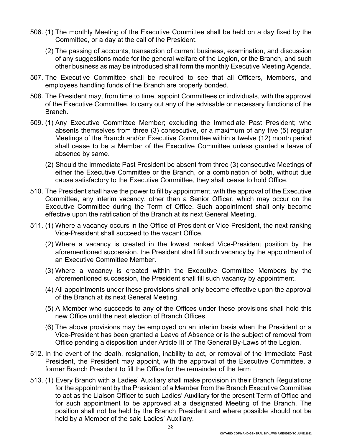- 506. (1) The monthly Meeting of the Executive Committee shall be held on a day fixed by the Committee, or a day at the call of the President.
	- (2) The passing of accounts, transaction of current business, examination, and discussion of any suggestions made for the general welfare of the Legion, or the Branch, and such other business as may be introduced shall form the monthly Executive Meeting Agenda.
- 507. The Executive Committee shall be required to see that all Officers, Members, and employees handling funds of the Branch are properly bonded.
- 508. The President may, from time to time, appoint Committees or individuals, with the approval of the Executive Committee, to carry out any of the advisable or necessary functions of the Branch.
- 509. (1) Any Executive Committee Member; excluding the Immediate Past President; who absents themselves from three (3) consecutive, or a maximum of any five (5) regular Meetings of the Branch and/or Executive Committee within a twelve (12) month period shall cease to be a Member of the Executive Committee unless granted a leave of absence by same.
	- (2) Should the Immediate Past President be absent from three (3) consecutive Meetings of either the Executive Committee or the Branch, or a combination of both, without due cause satisfactory to the Executive Committee, they shall cease to hold Office.
- 510. The President shall have the power to fill by appointment, with the approval of the Executive Committee, any interim vacancy, other than a Senior Officer, which may occur on the Executive Committee during the Term of Office. Such appointment shall only become effective upon the ratification of the Branch at its next General Meeting.
- 511. (1) Where a vacancy occurs in the Office of President or Vice-President, the next ranking Vice-President shall succeed to the vacant Office.
	- (2) Where a vacancy is created in the lowest ranked Vice-President position by the aforementioned succession, the President shall fill such vacancy by the appointment of an Executive Committee Member.
	- (3) Where a vacancy is created within the Executive Committee Members by the aforementioned succession, the President shall fill such vacancy by appointment.
	- (4) All appointments under these provisions shall only become effective upon the approval of the Branch at its next General Meeting.
	- (5) A Member who succeeds to any of the Offices under these provisions shall hold this new Office until the next election of Branch Offices.
	- (6) The above provisions may be employed on an interim basis when the President or a Vice-President has been granted a Leave of Absence or is the subject of removal from Office pending a disposition under Article III of The General By-Laws of the Legion.
- 512. In the event of the death, resignation, inability to act, or removal of the Immediate Past President, the President may appoint, with the approval of the Executive Committee, a former Branch President to fill the Office for the remainder of the term
- 513. (1) Every Branch with a Ladies' Auxiliary shall make provision in their Branch Regulations for the appointment by the President of a Member from the Branch Executive Committee to act as the Liaison Officer to such Ladies' Auxiliary for the present Term of Office and for such appointment to be approved at a designated Meeting of the Branch. The position shall not be held by the Branch President and where possible should not be held by a Member of the said Ladies' Auxiliary.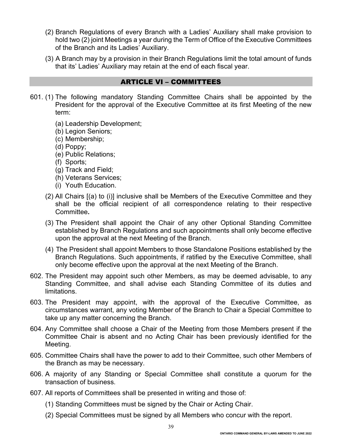- (2) Branch Regulations of every Branch with a Ladies' Auxiliary shall make provision to hold two (2) joint Meetings a year during the Term of Office of the Executive Committees of the Branch and its Ladies' Auxiliary.
- (3) A Branch may by a provision in their Branch Regulations limit the total amount of funds that its' Ladies' Auxiliary may retain at the end of each fiscal year.

#### ARTICLE VI – COMMITTEES

- 601. (1) The following mandatory Standing Committee Chairs shall be appointed by the President for the approval of the Executive Committee at its first Meeting of the new term:
	- (a) Leadership Development;
	- (b) Legion Seniors;
	- (c) Membership;
	- (d) Poppy;
	- (e) Public Relations;
	- (f) Sports;
	- (g) Track and Field;
	- (h) Veterans Services;
	- (i) Youth Education.
	- (2) All Chairs [(a) to (i)] inclusive shall be Members of the Executive Committee and they shall be the official recipient of all correspondence relating to their respective Committee**.**
	- (3) The President shall appoint the Chair of any other Optional Standing Committee established by Branch Regulations and such appointments shall only become effective upon the approval at the next Meeting of the Branch.
	- (4) The President shall appoint Members to those Standalone Positions established by the Branch Regulations. Such appointments, if ratified by the Executive Committee, shall only become effective upon the approval at the next Meeting of the Branch.
- 602. The President may appoint such other Members, as may be deemed advisable, to any Standing Committee, and shall advise each Standing Committee of its duties and limitations.
- 603. The President may appoint, with the approval of the Executive Committee, as circumstances warrant, any voting Member of the Branch to Chair a Special Committee to take up any matter concerning the Branch.
- 604. Any Committee shall choose a Chair of the Meeting from those Members present if the Committee Chair is absent and no Acting Chair has been previously identified for the Meeting.
- 605. Committee Chairs shall have the power to add to their Committee, such other Members of the Branch as may be necessary.
- 606. A majority of any Standing or Special Committee shall constitute a quorum for the transaction of business.
- 607. All reports of Committees shall be presented in writing and those of:
	- (1) Standing Committees must be signed by the Chair or Acting Chair.
	- (2) Special Committees must be signed by all Members who concur with the report.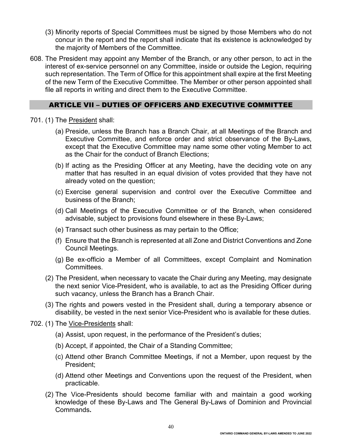- (3) Minority reports of Special Committees must be signed by those Members who do not concur in the report and the report shall indicate that its existence is acknowledged by the majority of Members of the Committee.
- 608. The President may appoint any Member of the Branch, or any other person, to act in the interest of ex-service personnel on any Committee, inside or outside the Legion, requiring such representation. The Term of Office for this appointment shall expire at the first Meeting of the new Term of the Executive Committee. The Member or other person appointed shall file all reports in writing and direct them to the Executive Committee.

#### ARTICLE VII – DUTIES OF OFFICERS AND EXECUTIVE COMMITTEE

- 701. (1) The President shall:
	- (a) Preside, unless the Branch has a Branch Chair, at all Meetings of the Branch and Executive Committee, and enforce order and strict observance of the By-Laws, except that the Executive Committee may name some other voting Member to act as the Chair for the conduct of Branch Elections;
	- (b) If acting as the Presiding Officer at any Meeting, have the deciding vote on any matter that has resulted in an equal division of votes provided that they have not already voted on the question;
	- (c) Exercise general supervision and control over the Executive Committee and business of the Branch;
	- (d) Call Meetings of the Executive Committee or of the Branch, when considered advisable, subject to provisions found elsewhere in these By-Laws;
	- (e) Transact such other business as may pertain to the Office;
	- (f) Ensure that the Branch is represented at all Zone and District Conventions and Zone Council Meetings.
	- (g) Be ex-officio a Member of all Committees, except Complaint and Nomination Committees.
	- (2) The President, when necessary to vacate the Chair during any Meeting, may designate the next senior Vice-President, who is available, to act as the Presiding Officer during such vacancy, unless the Branch has a Branch Chair.
	- (3) The rights and powers vested in the President shall, during a temporary absence or disability, be vested in the next senior Vice-President who is available for these duties.
- 702. (1) The Vice-Presidents shall:
	- (a) Assist, upon request, in the performance of the President's duties;
	- (b) Accept, if appointed, the Chair of a Standing Committee;
	- (c) Attend other Branch Committee Meetings, if not a Member, upon request by the President;
	- (d) Attend other Meetings and Conventions upon the request of the President, when practicable.
	- (2) The Vice-Presidents should become familiar with and maintain a good working knowledge of these By-Laws and The General By-Laws of Dominion and Provincial Commands**.**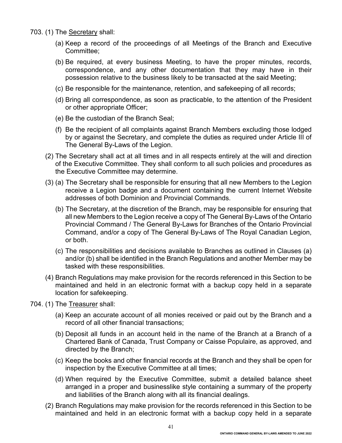- 703. (1) The Secretary shall:
	- (a) Keep a record of the proceedings of all Meetings of the Branch and Executive Committee;
	- (b) Be required, at every business Meeting, to have the proper minutes, records, correspondence, and any other documentation that they may have in their possession relative to the business likely to be transacted at the said Meeting;
	- (c) Be responsible for the maintenance, retention, and safekeeping of all records;
	- (d) Bring all correspondence, as soon as practicable, to the attention of the President or other appropriate Officer;
	- (e) Be the custodian of the Branch Seal;
	- (f) Be the recipient of all complaints against Branch Members excluding those lodged by or against the Secretary, and complete the duties as required under Article III of The General By-Laws of the Legion.
	- (2) The Secretary shall act at all times and in all respects entirely at the will and direction of the Executive Committee. They shall conform to all such policies and procedures as the Executive Committee may determine.
	- (3) (a) The Secretary shall be responsible for ensuring that all new Members to the Legion receive a Legion badge and a document containing the current Internet Website addresses of both Dominion and Provincial Commands.
		- (b) The Secretary, at the discretion of the Branch, may be responsible for ensuring that all new Members to the Legion receive a copy of The General By-Laws of the Ontario Provincial Command / The General By-Laws for Branches of the Ontario Provincial Command, and/or a copy of The General By-Laws of The Royal Canadian Legion, or both.
		- (c) The responsibilities and decisions available to Branches as outlined in Clauses (a) and/or (b) shall be identified in the Branch Regulations and another Member may be tasked with these responsibilities.
	- (4) Branch Regulations may make provision for the records referenced in this Section to be maintained and held in an electronic format with a backup copy held in a separate location for safekeeping.
- 704. (1) The Treasurer shall:
	- (a) Keep an accurate account of all monies received or paid out by the Branch and a record of all other financial transactions;
	- (b) Deposit all funds in an account held in the name of the Branch at a Branch of a Chartered Bank of Canada, Trust Company or Caisse Populaire, as approved, and directed by the Branch;
	- (c) Keep the books and other financial records at the Branch and they shall be open for inspection by the Executive Committee at all times;
	- (d) When required by the Executive Committee, submit a detailed balance sheet arranged in a proper and businesslike style containing a summary of the property and liabilities of the Branch along with all its financial dealings.
	- (2) Branch Regulations may make provision for the records referenced in this Section to be maintained and held in an electronic format with a backup copy held in a separate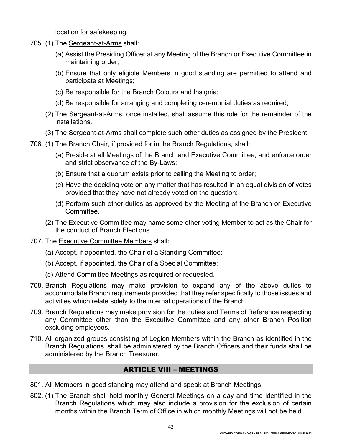location for safekeeping.

- 705. (1) The Sergeant-at-Arms shall:
	- (a) Assist the Presiding Officer at any Meeting of the Branch or Executive Committee in maintaining order;
	- (b) Ensure that only eligible Members in good standing are permitted to attend and participate at Meetings;
	- (c) Be responsible for the Branch Colours and Insignia;
	- (d) Be responsible for arranging and completing ceremonial duties as required;
	- (2) The Sergeant-at-Arms, once installed, shall assume this role for the remainder of the installations.
	- (3) The Sergeant-at-Arms shall complete such other duties as assigned by the President.
- 706. (1) The Branch Chair, if provided for in the Branch Regulations, shall:
	- (a) Preside at all Meetings of the Branch and Executive Committee, and enforce order and strict observance of the By-Laws;
	- (b) Ensure that a quorum exists prior to calling the Meeting to order;
	- (c) Have the deciding vote on any matter that has resulted in an equal division of votes provided that they have not already voted on the question;
	- (d) Perform such other duties as approved by the Meeting of the Branch or Executive **Committee**
	- (2) The Executive Committee may name some other voting Member to act as the Chair for the conduct of Branch Elections.
- 707. The Executive Committee Members shall:
	- (a) Accept, if appointed, the Chair of a Standing Committee;
	- (b) Accept, if appointed, the Chair of a Special Committee;
	- (c) Attend Committee Meetings as required or requested.
- 708. Branch Regulations may make provision to expand any of the above duties to accommodate Branch requirements provided that they refer specifically to those issues and activities which relate solely to the internal operations of the Branch.
- 709. Branch Regulations may make provision for the duties and Terms of Reference respecting any Committee other than the Executive Committee and any other Branch Position excluding employees.
- 710. All organized groups consisting of Legion Members within the Branch as identified in the Branch Regulations, shall be administered by the Branch Officers and their funds shall be administered by the Branch Treasurer.

#### ARTICLE VIII – MEETINGS

- 801. All Members in good standing may attend and speak at Branch Meetings.
- 802. (1) The Branch shall hold monthly General Meetings on a day and time identified in the Branch Regulations which may also include a provision for the exclusion of certain months within the Branch Term of Office in which monthly Meetings will not be held.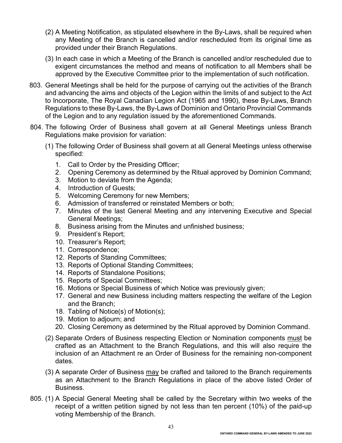- (2) A Meeting Notification, as stipulated elsewhere in the By-Laws, shall be required when any Meeting of the Branch is cancelled and/or rescheduled from its original time as provided under their Branch Regulations.
- (3) In each case in which a Meeting of the Branch is cancelled and/or rescheduled due to exigent circumstances the method and means of notification to all Members shall be approved by the Executive Committee prior to the implementation of such notification.
- 803. General Meetings shall be held for the purpose of carrying out the activities of the Branch and advancing the aims and objects of the Legion within the limits of and subject to the Act to Incorporate, The Royal Canadian Legion Act (1965 and 1990), these By-Laws, Branch Regulations to these By-Laws, the By-Laws of Dominion and Ontario Provincial Commands of the Legion and to any regulation issued by the aforementioned Commands.
- 804. The following Order of Business shall govern at all General Meetings unless Branch Regulations make provision for variation:
	- (1) The following Order of Business shall govern at all General Meetings unless otherwise specified:
		- 1. Call to Order by the Presiding Officer;
		- 2. Opening Ceremony as determined by the Ritual approved by Dominion Command;
		- 3. Motion to deviate from the Agenda;
		- 4. Introduction of Guests;
		- 5. Welcoming Ceremony for new Members;
		- 6. Admission of transferred or reinstated Members or both;
		- 7. Minutes of the last General Meeting and any intervening Executive and Special General Meetings;
		- 8. Business arising from the Minutes and unfinished business;
		- 9. President's Report;
		- 10. Treasurer's Report;
		- 11. Correspondence;
		- 12. Reports of Standing Committees;
		- 13. Reports of Optional Standing Committees;
		- 14. Reports of Standalone Positions;
		- 15. Reports of Special Committees;
		- 16. Motions or Special Business of which Notice was previously given;
		- 17. General and new Business including matters respecting the welfare of the Legion and the Branch;
		- 18. Tabling of Notice(s) of Motion(s);
		- 19. Motion to adjourn; and
		- 20. Closing Ceremony as determined by the Ritual approved by Dominion Command.
	- (2) Separate Orders of Business respecting Election or Nomination components must be crafted as an Attachment to the Branch Regulations, and this will also require the inclusion of an Attachment re an Order of Business for the remaining non-component dates.
	- (3) A separate Order of Business may be crafted and tailored to the Branch requirements as an Attachment to the Branch Regulations in place of the above listed Order of Business.
- 805. (1) A Special General Meeting shall be called by the Secretary within two weeks of the receipt of a written petition signed by not less than ten percent (10%) of the paid-up voting Membership of the Branch.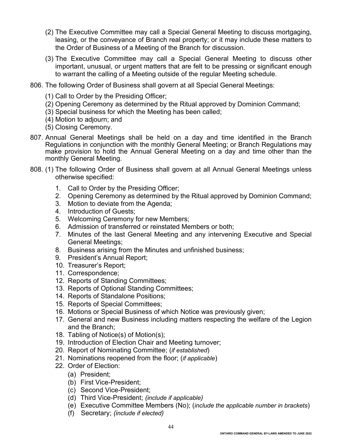- (2) The Executive Committee may call a Special General Meeting to discuss mortgaging, leasing, or the conveyance of Branch real property; or it may include these matters to the Order of Business of a Meeting of the Branch for discussion.
- (3) The Executive Committee may call a Special General Meeting to discuss other important, unusual, or urgent matters that are felt to be pressing or significant enough to warrant the calling of a Meeting outside of the regular Meeting schedule.
- 806. The following Order of Business shall govern at all Special General Meetings:
	- (1) Call to Order by the Presiding Officer;
	- (2) Opening Ceremony as determined by the Ritual approved by Dominion Command;
	- (3) Special business for which the Meeting has been called;
	- (4) Motion to adjourn; and
	- (5) Closing Ceremony.
- 807. Annual General Meetings shall be held on a day and time identified in the Branch Regulations in conjunction with the monthly General Meeting; or Branch Regulations may make provision to hold the Annual General Meeting on a day and time other than the monthly General Meeting.
- 808. (1) The following Order of Business shall govern at all Annual General Meetings unless otherwise specified:
	- 1. Call to Order by the Presiding Officer;
	- 2. Opening Ceremony as determined by the Ritual approved by Dominion Command;
	- 3. Motion to deviate from the Agenda;
	- 4. Introduction of Guests;
	- 5. Welcoming Ceremony for new Members;
	- 6. Admission of transferred or reinstated Members or both;
	- 7. Minutes of the last General Meeting and any intervening Executive and Special General Meetings;
	- 8. Business arising from the Minutes and unfinished business;
	- 9. President's Annual Report;
	- 10. Treasurer's Report;
	- 11. Correspondence;
	- 12. Reports of Standing Committees;
	- 13. Reports of Optional Standing Committees;
	- 14. Reports of Standalone Positions;
	- 15. Reports of Special Committees;
	- 16. Motions or Special Business of which Notice was previously given;
	- 17. General and new Business including matters respecting the welfare of the Legion and the Branch;
	- 18. Tabling of Notice(s) of Motion(s);
	- 19. Introduction of Election Chair and Meeting turnover;
	- 20. Report of Nominating Committee; (*if established*)
	- 21. Nominations reopened from the floor; (*if applicable*)
	- 22. Order of Election:
		- (a) President;
		- (b) First Vice-President;
		- (c) Second Vice-President;
		- (d) Third Vice-President; *(include if applicable)*
		- (e) Executive Committee Members (No); (*include the applicable number in brackets*)
		- (f) Secretary; *(include if elected)*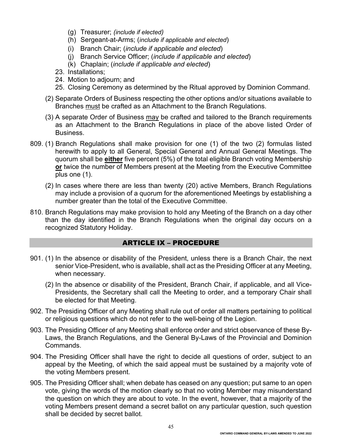- (g) Treasurer; *(include if elected)*
- (h) Sergeant-at-Arms; (*include if applicable and elected*)
- (i) Branch Chair; (*include if applicable and elected*)
- (j) Branch Service Officer; (*include if applicable and elected*)
- (k) Chaplain; (*include if applicable and elected*)
- 23. Installations;
- 24. Motion to adjourn; and
- 25. Closing Ceremony as determined by the Ritual approved by Dominion Command.
- (2) Separate Orders of Business respecting the other options and/or situations available to Branches must be crafted as an Attachment to the Branch Regulations.
- (3) A separate Order of Business may be crafted and tailored to the Branch requirements as an Attachment to the Branch Regulations in place of the above listed Order of Business.
- 809. (1) Branch Regulations shall make provision for one (1) of the two (2) formulas listed herewith to apply to all General, Special General and Annual General Meetings. The quorum shall be **either** five percent (5%) of the total eligible Branch voting Membership **or** twice the number of Members present at the Meeting from the Executive Committee plus one (1).
	- (2) In cases where there are less than twenty (20) active Members, Branch Regulations may include a provision of a quorum for the aforementioned Meetings by establishing a number greater than the total of the Executive Committee.
- 810. Branch Regulations may make provision to hold any Meeting of the Branch on a day other than the day identified in the Branch Regulations when the original day occurs on a recognized Statutory Holiday.

#### ARTICLE IX – PROCEDURE

- 901. (1) In the absence or disability of the President, unless there is a Branch Chair, the next senior Vice-President, who is available, shall act as the Presiding Officer at any Meeting, when necessary.
	- (2) In the absence or disability of the President, Branch Chair, if applicable, and all Vice-Presidents, the Secretary shall call the Meeting to order, and a temporary Chair shall be elected for that Meeting.
- 902. The Presiding Officer of any Meeting shall rule out of order all matters pertaining to political or religious questions which do not refer to the well-being of the Legion.
- 903. The Presiding Officer of any Meeting shall enforce order and strict observance of these By-Laws, the Branch Regulations, and the General By-Laws of the Provincial and Dominion Commands.
- 904. The Presiding Officer shall have the right to decide all questions of order, subject to an appeal by the Meeting, of which the said appeal must be sustained by a majority vote of the voting Members present.
- 905. The Presiding Officer shall; when debate has ceased on any question; put same to an open vote, giving the words of the motion clearly so that no voting Member may misunderstand the question on which they are about to vote. In the event, however, that a majority of the voting Members present demand a secret ballot on any particular question, such question shall be decided by secret ballot.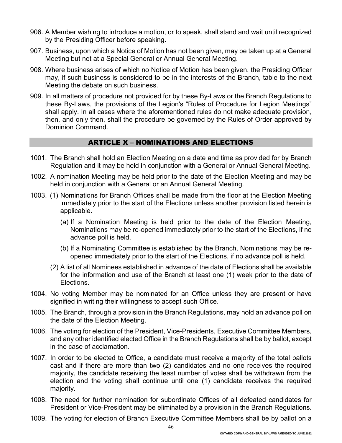- 906. A Member wishing to introduce a motion, or to speak, shall stand and wait until recognized by the Presiding Officer before speaking.
- 907. Business, upon which a Notice of Motion has not been given, may be taken up at a General Meeting but not at a Special General or Annual General Meeting.
- 908. Where business arises of which no Notice of Motion has been given, the Presiding Officer may, if such business is considered to be in the interests of the Branch, table to the next Meeting the debate on such business.
- 909. In all matters of procedure not provided for by these By-Laws or the Branch Regulations to these By-Laws, the provisions of the Legion's "Rules of Procedure for Legion Meetings" shall apply. In all cases where the aforementioned rules do not make adequate provision, then, and only then, shall the procedure be governed by the Rules of Order approved by Dominion Command.

## ARTICLE X – NOMINATIONS AND ELECTIONS

- 1001. The Branch shall hold an Election Meeting on a date and time as provided for by Branch Regulation and it may be held in conjunction with a General or Annual General Meeting.
- 1002. A nomination Meeting may be held prior to the date of the Election Meeting and may be held in conjunction with a General or an Annual General Meeting.
- 1003. (1) Nominations for Branch Offices shall be made from the floor at the Election Meeting immediately prior to the start of the Elections unless another provision listed herein is applicable.
	- (a) If a Nomination Meeting is held prior to the date of the Election Meeting, Nominations may be re-opened immediately prior to the start of the Elections, if no advance poll is held.
	- (b) If a Nominating Committee is established by the Branch, Nominations may be reopened immediately prior to the start of the Elections, if no advance poll is held.
	- (2) A list of all Nominees established in advance of the date of Elections shall be available for the information and use of the Branch at least one (1) week prior to the date of Elections.
- 1004. No voting Member may be nominated for an Office unless they are present or have signified in writing their willingness to accept such Office.
- 1005. The Branch, through a provision in the Branch Regulations, may hold an advance poll on the date of the Election Meeting.
- 1006. The voting for election of the President, Vice-Presidents, Executive Committee Members, and any other identified elected Office in the Branch Regulations shall be by ballot, except in the case of acclamation.
- 1007. In order to be elected to Office, a candidate must receive a majority of the total ballots cast and if there are more than two (2) candidates and no one receives the required majority, the candidate receiving the least number of votes shall be withdrawn from the election and the voting shall continue until one (1) candidate receives the required majority.
- 1008. The need for further nomination for subordinate Offices of all defeated candidates for President or Vice-President may be eliminated by a provision in the Branch Regulations.
- 1009. The voting for election of Branch Executive Committee Members shall be by ballot on a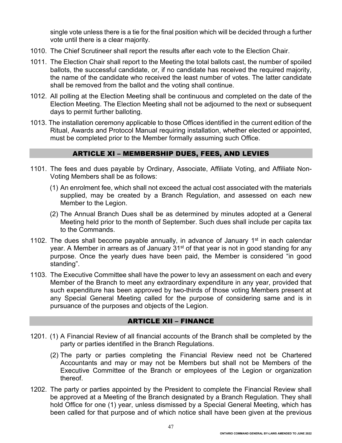single vote unless there is a tie for the final position which will be decided through a further vote until there is a clear majority.

- 1010. The Chief Scrutineer shall report the results after each vote to the Election Chair.
- 1011. The Election Chair shall report to the Meeting the total ballots cast, the number of spoiled ballots, the successful candidate, or, if no candidate has received the required majority, the name of the candidate who received the least number of votes. The latter candidate shall be removed from the ballot and the voting shall continue.
- 1012. All polling at the Election Meeting shall be continuous and completed on the date of the Election Meeting. The Election Meeting shall not be adjourned to the next or subsequent days to permit further balloting.
- 1013. The installation ceremony applicable to those Offices identified in the current edition of the Ritual, Awards and Protocol Manual requiring installation, whether elected or appointed, must be completed prior to the Member formally assuming such Office.

# ARTICLE XI – MEMBERSHIP DUES, FEES, AND LEVIES

- 1101. The fees and dues payable by Ordinary, Associate, Affiliate Voting, and Affiliate Non-Voting Members shall be as follows:
	- (1) An enrolment fee, which shall not exceed the actual cost associated with the materials supplied, may be created by a Branch Regulation, and assessed on each new Member to the Legion.
	- (2) The Annual Branch Dues shall be as determined by minutes adopted at a General Meeting held prior to the month of September. Such dues shall include per capita tax to the Commands.
- 1102. The dues shall become payable annually, in advance of January 1<sup>st</sup> in each calendar year. A Member in arrears as of January 31<sup>st</sup> of that year is not in good standing for any purpose. Once the yearly dues have been paid, the Member is considered "in good standing".
- 1103. The Executive Committee shall have the power to levy an assessment on each and every Member of the Branch to meet any extraordinary expenditure in any year, provided that such expenditure has been approved by two-thirds of those voting Members present at any Special General Meeting called for the purpose of considering same and is in pursuance of the purposes and objects of the Legion.

#### ARTICLE XII – FINANCE

- 1201. (1) A Financial Review of all financial accounts of the Branch shall be completed by the party or parties identified in the Branch Regulations.
	- (2) The party or parties completing the Financial Review need not be Chartered Accountants and may or may not be Members but shall not be Members of the Executive Committee of the Branch or employees of the Legion or organization thereof.
- 1202. The party or parties appointed by the President to complete the Financial Review shall be approved at a Meeting of the Branch designated by a Branch Regulation. They shall hold Office for one (1) year, unless dismissed by a Special General Meeting, which has been called for that purpose and of which notice shall have been given at the previous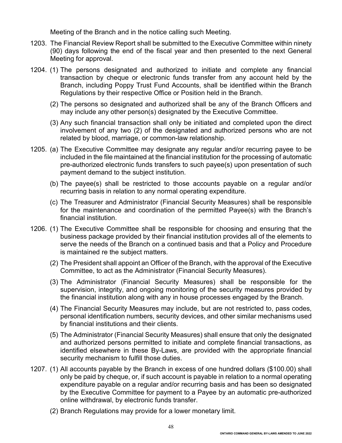Meeting of the Branch and in the notice calling such Meeting.

- 1203. The Financial Review Report shall be submitted to the Executive Committee within ninety (90) days following the end of the fiscal year and then presented to the next General Meeting for approval.
- 1204. (1) The persons designated and authorized to initiate and complete any financial transaction by cheque or electronic funds transfer from any account held by the Branch, including Poppy Trust Fund Accounts, shall be identified within the Branch Regulations by their respective Office or Position held in the Branch.
	- (2) The persons so designated and authorized shall be any of the Branch Officers and may include any other person(s) designated by the Executive Committee.
	- (3) Any such financial transaction shall only be initiated and completed upon the direct involvement of any two (2) of the designated and authorized persons who are not related by blood, marriage, or common-law relationship.
- 1205. (a) The Executive Committee may designate any regular and/or recurring payee to be included in the file maintained at the financial institution for the processing of automatic pre-authorized electronic funds transfers to such payee(s) upon presentation of such payment demand to the subject institution.
	- (b) The payee(s) shall be restricted to those accounts payable on a regular and/or recurring basis in relation to any normal operating expenditure.
	- (c) The Treasurer and Administrator (Financial Security Measures) shall be responsible for the maintenance and coordination of the permitted Payee(s) with the Branch's financial institution.
- 1206. (1) The Executive Committee shall be responsible for choosing and ensuring that the business package provided by their financial institution provides all of the elements to serve the needs of the Branch on a continued basis and that a Policy and Procedure is maintained re the subject matters.
	- (2) The President shall appoint an Officer of the Branch, with the approval of the Executive Committee, to act as the Administrator (Financial Security Measures).
	- (3) The Administrator (Financial Security Measures) shall be responsible for the supervision, integrity, and ongoing monitoring of the security measures provided by the financial institution along with any in house processes engaged by the Branch.
	- (4) The Financial Security Measures may include, but are not restricted to, pass codes, personal identification numbers, security devices, and other similar mechanisms used by financial institutions and their clients.
	- (5) The Administrator (Financial Security Measures) shall ensure that only the designated and authorized persons permitted to initiate and complete financial transactions, as identified elsewhere in these By-Laws, are provided with the appropriate financial security mechanism to fulfill those duties.
- 1207. (1) All accounts payable by the Branch in excess of one hundred dollars (\$100.00) shall only be paid by cheque, or, if such account is payable in relation to a normal operating expenditure payable on a regular and/or recurring basis and has been so designated by the Executive Committee for payment to a Payee by an automatic pre-authorized online withdrawal, by electronic funds transfer.

48

(2) Branch Regulations may provide for a lower monetary limit.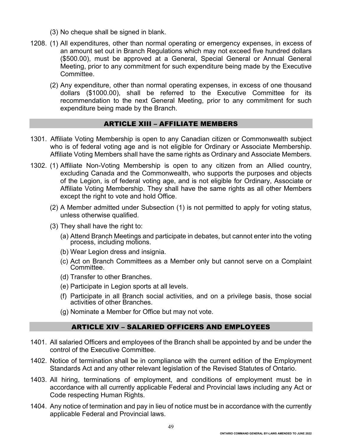- (3) No cheque shall be signed in blank.
- 1208. (1) All expenditures, other than normal operating or emergency expenses, in excess of an amount set out in Branch Regulations which may not exceed five hundred dollars (\$500.00), must be approved at a General, Special General or Annual General Meeting, prior to any commitment for such expenditure being made by the Executive Committee.
	- (2) Any expenditure, other than normal operating expenses, in excess of one thousand dollars (\$1000.00), shall be referred to the Executive Committee for its recommendation to the next General Meeting, prior to any commitment for such expenditure being made by the Branch.

#### ARTICLE XIII – AFFILIATE MEMBERS

- 1301. Affiliate Voting Membership is open to any Canadian citizen or Commonwealth subject who is of federal voting age and is not eligible for Ordinary or Associate Membership. Affiliate Voting Members shall have the same rights as Ordinary and Associate Members.
- 1302. (1) Affiliate Non-Voting Membership is open to any citizen from an Allied country, excluding Canada and the Commonwealth, who supports the purposes and objects of the Legion, is of federal voting age, and is not eligible for Ordinary, Associate or Affiliate Voting Membership. They shall have the same rights as all other Members except the right to vote and hold Office.
	- (2) A Member admitted under Subsection (1) is not permitted to apply for voting status, unless otherwise qualified.
	- (3) They shall have the right to:
		- (a) Attend Branch Meetings and participate in debates, but cannot enter into the voting process, including motions.
		- (b) Wear Legion dress and insignia.
		- (c) Act on Branch Committees as a Member only but cannot serve on a Complaint Committee.
		- (d) Transfer to other Branches.
		- (e) Participate in Legion sports at all levels.
		- (f) Participate in all Branch social activities, and on a privilege basis, those social activities of other Branches.
		- (g) Nominate a Member for Office but may not vote.

#### ARTICLE XIV – SALARIED OFFICERS AND EMPLOYEES

- 1401. All salaried Officers and employees of the Branch shall be appointed by and be under the control of the Executive Committee.
- 1402. Notice of termination shall be in compliance with the current edition of the Employment Standards Act and any other relevant legislation of the Revised Statutes of Ontario.
- 1403. All hiring, terminations of employment, and conditions of employment must be in accordance with all currently applicable Federal and Provincial laws including any Act or Code respecting Human Rights.
- 1404. Any notice of termination and pay in lieu of notice must be in accordance with the currently applicable Federal and Provincial laws.